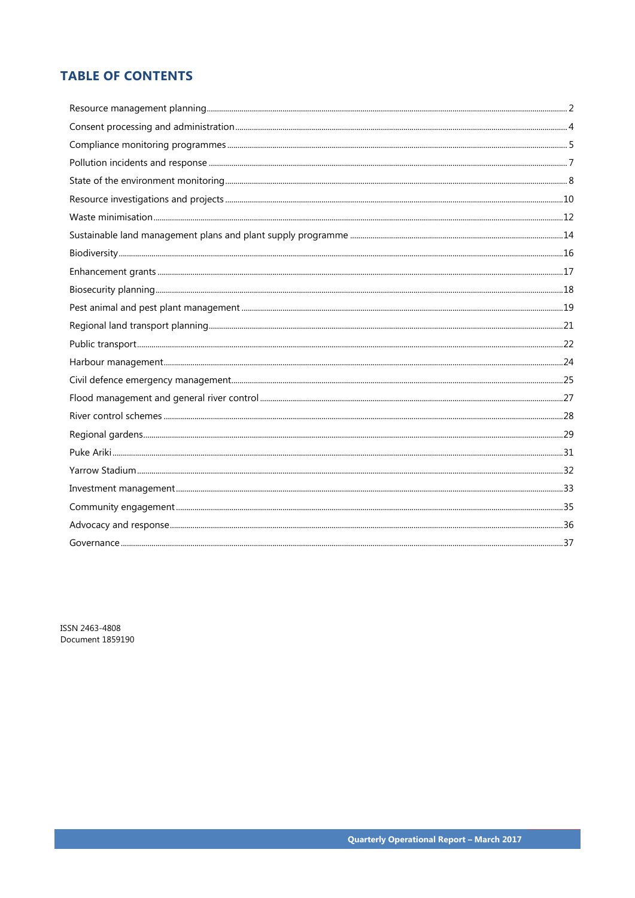# **TABLE OF CONTENTS**

ISSN 2463-4808 Document 1859190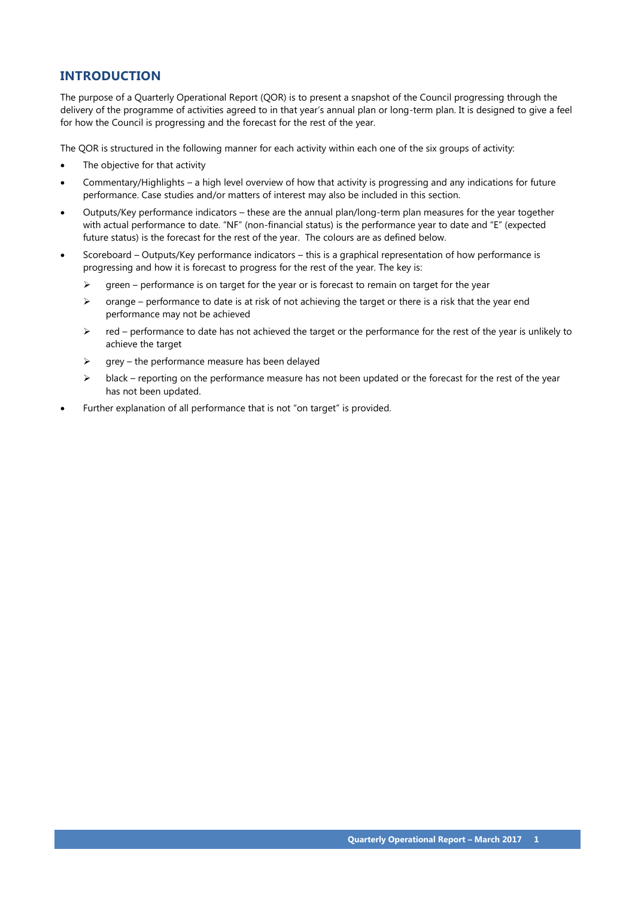# **INTRODUCTION**

The purpose of a Quarterly Operational Report (QOR) is to present a snapshot of the Council progressing through the delivery of the programme of activities agreed to in that year's annual plan or long-term plan. It is designed to give a feel for how the Council is progressing and the forecast for the rest of the year.

The QOR is structured in the following manner for each activity within each one of the six groups of activity:

- The objective for that activity
- Commentary/Highlights a high level overview of how that activity is progressing and any indications for future performance. Case studies and/or matters of interest may also be included in this section.
- Outputs/Key performance indicators these are the annual plan/long-term plan measures for the year together with actual performance to date. "NF" (non-financial status) is the performance year to date and "E" (expected future status) is the forecast for the rest of the year. The colours are as defined below.
- Scoreboard Outputs/Key performance indicators this is a graphical representation of how performance is progressing and how it is forecast to progress for the rest of the year. The key is:
	- $\triangleright$  green performance is on target for the year or is forecast to remain on target for the year
	- $\triangleright$  orange performance to date is at risk of not achieving the target or there is a risk that the year end performance may not be achieved
	- $\triangleright$  red performance to date has not achieved the target or the performance for the rest of the year is unlikely to achieve the target
	- $\triangleright$  grey the performance measure has been delayed
	- $\triangleright$  black reporting on the performance measure has not been updated or the forecast for the rest of the year has not been updated.
- Further explanation of all performance that is not "on target" is provided.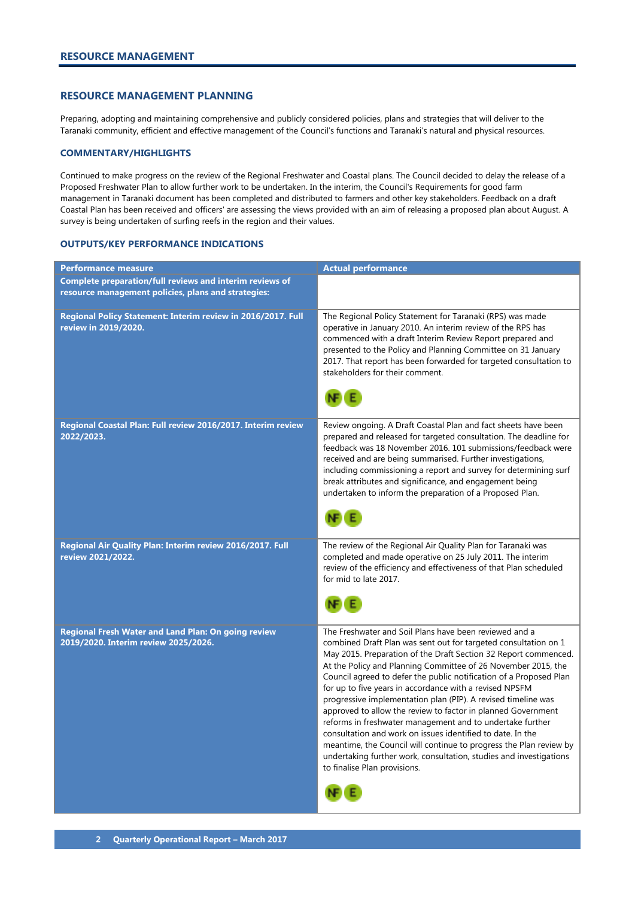#### <span id="page-3-0"></span>**RESOURCE MANAGEMENT PLANNING**

Preparing, adopting and maintaining comprehensive and publicly considered policies, plans and strategies that will deliver to the Taranaki community, efficient and effective management of the Council's functions and Taranaki's natural and physical resources.

#### **COMMENTARY/HIGHLIGHTS**

Continued to make progress on the review of the Regional Freshwater and Coastal plans. The Council decided to delay the release of a Proposed Freshwater Plan to allow further work to be undertaken. In the interim, the Council's Requirements for good farm management in Taranaki document has been completed and distributed to farmers and other key stakeholders. Feedback on a draft Coastal Plan has been received and officers' are assessing the views provided with an aim of releasing a proposed plan about August. A survey is being undertaken of surfing reefs in the region and their values.

| <b>Performance measure</b>                                                                                      | <b>Actual performance</b>                                                                                                                                                                                                                                                                                                                                                                                                                                                                                                                                                                                                                                                                                                                                                                                                              |
|-----------------------------------------------------------------------------------------------------------------|----------------------------------------------------------------------------------------------------------------------------------------------------------------------------------------------------------------------------------------------------------------------------------------------------------------------------------------------------------------------------------------------------------------------------------------------------------------------------------------------------------------------------------------------------------------------------------------------------------------------------------------------------------------------------------------------------------------------------------------------------------------------------------------------------------------------------------------|
| Complete preparation/full reviews and interim reviews of<br>resource management policies, plans and strategies: |                                                                                                                                                                                                                                                                                                                                                                                                                                                                                                                                                                                                                                                                                                                                                                                                                                        |
| Regional Policy Statement: Interim review in 2016/2017. Full<br>review in 2019/2020.                            | The Regional Policy Statement for Taranaki (RPS) was made<br>operative in January 2010. An interim review of the RPS has<br>commenced with a draft Interim Review Report prepared and<br>presented to the Policy and Planning Committee on 31 January<br>2017. That report has been forwarded for targeted consultation to<br>stakeholders for their comment.                                                                                                                                                                                                                                                                                                                                                                                                                                                                          |
| Regional Coastal Plan: Full review 2016/2017. Interim review<br>2022/2023.                                      | Review ongoing. A Draft Coastal Plan and fact sheets have been<br>prepared and released for targeted consultation. The deadline for<br>feedback was 18 November 2016. 101 submissions/feedback were<br>received and are being summarised. Further investigations,<br>including commissioning a report and survey for determining surf<br>break attributes and significance, and engagement being<br>undertaken to inform the preparation of a Proposed Plan.                                                                                                                                                                                                                                                                                                                                                                           |
| Regional Air Quality Plan: Interim review 2016/2017. Full<br>review 2021/2022.                                  | The review of the Regional Air Quality Plan for Taranaki was<br>completed and made operative on 25 July 2011. The interim<br>review of the efficiency and effectiveness of that Plan scheduled<br>for mid to late 2017.                                                                                                                                                                                                                                                                                                                                                                                                                                                                                                                                                                                                                |
| Regional Fresh Water and Land Plan: On going review<br>2019/2020. Interim review 2025/2026.                     | The Freshwater and Soil Plans have been reviewed and a<br>combined Draft Plan was sent out for targeted consultation on 1<br>May 2015. Preparation of the Draft Section 32 Report commenced.<br>At the Policy and Planning Committee of 26 November 2015, the<br>Council agreed to defer the public notification of a Proposed Plan<br>for up to five years in accordance with a revised NPSFM<br>progressive implementation plan (PIP). A revised timeline was<br>approved to allow the review to factor in planned Government<br>reforms in freshwater management and to undertake further<br>consultation and work on issues identified to date. In the<br>meantime, the Council will continue to progress the Plan review by<br>undertaking further work, consultation, studies and investigations<br>to finalise Plan provisions. |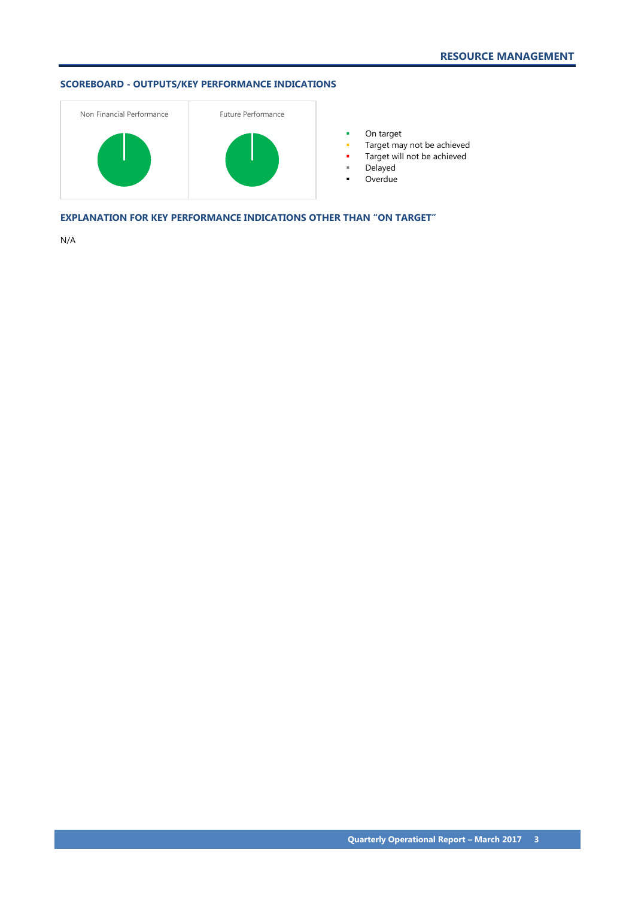# **SCOREBOARD - OUTPUTS/KEY PERFORMANCE INDICATIONS**



**•** On target

- **Target may not be achieved**
- **Target will not be achieved**
- Delayed
- Overdue

**EXPLANATION FOR KEY PERFORMANCE INDICATIONS OTHER THAN "ON TARGET"**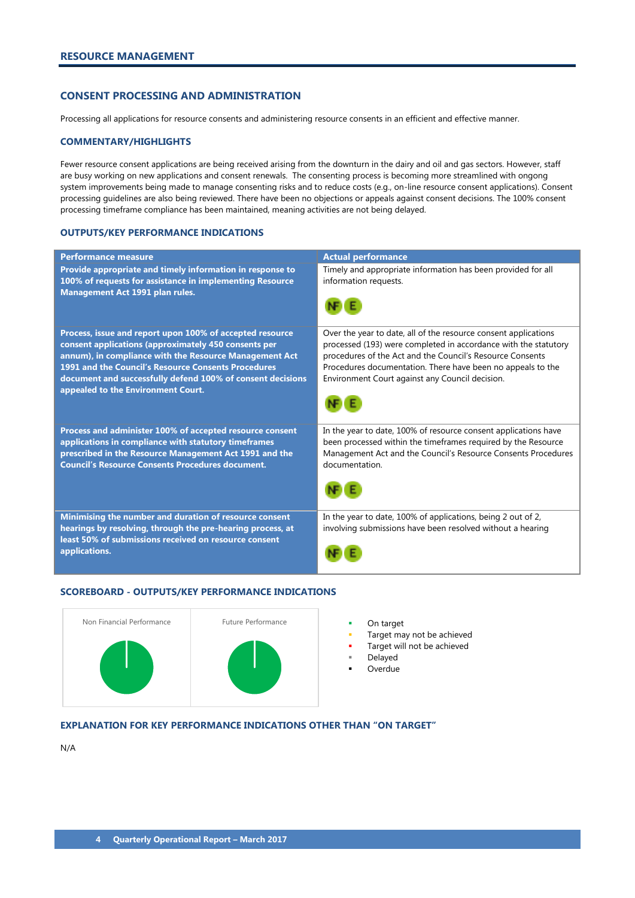# <span id="page-5-0"></span>**CONSENT PROCESSING AND ADMINISTRATION**

Processing all applications for resource consents and administering resource consents in an efficient and effective manner.

#### **COMMENTARY/HIGHLIGHTS**

Fewer resource consent applications are being received arising from the downturn in the dairy and oil and gas sectors. However, staff are busy working on new applications and consent renewals. The consenting process is becoming more streamlined with ongong system improvements being made to manage consenting risks and to reduce costs (e.g., on-line resource consent applications). Consent processing guidelines are also being reviewed. There have been no objections or appeals against consent decisions. The 100% consent processing timeframe compliance has been maintained, meaning activities are not being delayed.

#### **OUTPUTS/KEY PERFORMANCE INDICATIONS**

| <b>Performance measure</b>                                                                                                                                                                                                                                                                                                            | <b>Actual performance</b>                                                                                                                                                                                                                                                                                         |
|---------------------------------------------------------------------------------------------------------------------------------------------------------------------------------------------------------------------------------------------------------------------------------------------------------------------------------------|-------------------------------------------------------------------------------------------------------------------------------------------------------------------------------------------------------------------------------------------------------------------------------------------------------------------|
| Provide appropriate and timely information in response to<br>100% of requests for assistance in implementing Resource<br>Management Act 1991 plan rules.                                                                                                                                                                              | Timely and appropriate information has been provided for all<br>information requests.                                                                                                                                                                                                                             |
| Process, issue and report upon 100% of accepted resource<br>consent applications (approximately 450 consents per<br>annum), in compliance with the Resource Management Act<br>1991 and the Council's Resource Consents Procedures<br>document and successfully defend 100% of consent decisions<br>appealed to the Environment Court. | Over the year to date, all of the resource consent applications<br>processed (193) were completed in accordance with the statutory<br>procedures of the Act and the Council's Resource Consents<br>Procedures documentation. There have been no appeals to the<br>Environment Court against any Council decision. |
| Process and administer 100% of accepted resource consent<br>applications in compliance with statutory timeframes<br>prescribed in the Resource Management Act 1991 and the<br><b>Council's Resource Consents Procedures document.</b>                                                                                                 | In the year to date, 100% of resource consent applications have<br>been processed within the timeframes required by the Resource<br>Management Act and the Council's Resource Consents Procedures<br>documentation.                                                                                               |
| Minimising the number and duration of resource consent<br>hearings by resolving, through the pre-hearing process, at<br>least 50% of submissions received on resource consent<br>applications.                                                                                                                                        | In the year to date, 100% of applications, being 2 out of 2,<br>involving submissions have been resolved without a hearing                                                                                                                                                                                        |

#### **SCOREBOARD - OUTPUTS/KEY PERFORMANCE INDICATIONS**



- 
- Target may not be achieved
- Target will not be achieved
- Delayed
- **Overdue**

# **EXPLANATION FOR KEY PERFORMANCE INDICATIONS OTHER THAN "ON TARGET"**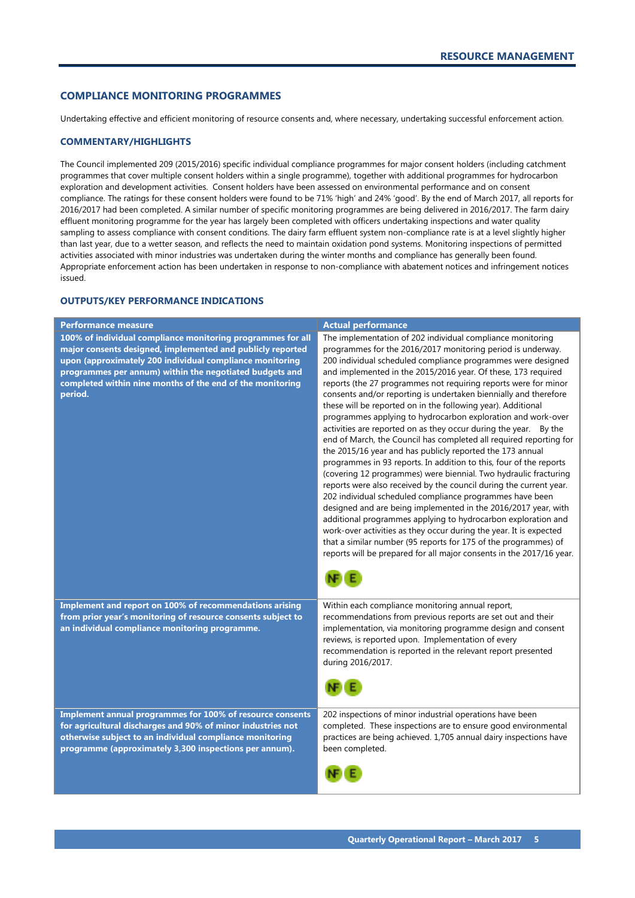#### <span id="page-6-0"></span>**COMPLIANCE MONITORING PROGRAMMES**

Undertaking effective and efficient monitoring of resource consents and, where necessary, undertaking successful enforcement action.

#### **COMMENTARY/HIGHLIGHTS**

The Council implemented 209 (2015/2016) specific individual compliance programmes for major consent holders (including catchment programmes that cover multiple consent holders within a single programme), together with additional programmes for hydrocarbon exploration and development activities. Consent holders have been assessed on environmental performance and on consent compliance. The ratings for these consent holders were found to be 71% 'high' and 24% 'good'. By the end of March 2017, all reports for 2016/2017 had been completed. A similar number of specific monitoring programmes are being delivered in 2016/2017. The farm dairy effluent monitoring programme for the year has largely been completed with officers undertaking inspections and water quality sampling to assess compliance with consent conditions. The dairy farm effluent system non-compliance rate is at a level slightly higher than last year, due to a wetter season, and reflects the need to maintain oxidation pond systems. Monitoring inspections of permitted activities associated with minor industries was undertaken during the winter months and compliance has generally been found. Appropriate enforcement action has been undertaken in response to non-compliance with abatement notices and infringement notices issued.

| <b>Performance measure</b>                                                                                                                                                                                                                                                                                               | <b>Actual performance</b>                                                                                                                                                                                                                                                                                                                                                                                                                                                                                                                                                                                                                                                                                                                                                                                                                                                                                                                                                                                                                                                                                                                                                                                                                                                                                                                                                |
|--------------------------------------------------------------------------------------------------------------------------------------------------------------------------------------------------------------------------------------------------------------------------------------------------------------------------|--------------------------------------------------------------------------------------------------------------------------------------------------------------------------------------------------------------------------------------------------------------------------------------------------------------------------------------------------------------------------------------------------------------------------------------------------------------------------------------------------------------------------------------------------------------------------------------------------------------------------------------------------------------------------------------------------------------------------------------------------------------------------------------------------------------------------------------------------------------------------------------------------------------------------------------------------------------------------------------------------------------------------------------------------------------------------------------------------------------------------------------------------------------------------------------------------------------------------------------------------------------------------------------------------------------------------------------------------------------------------|
| 100% of individual compliance monitoring programmes for all<br>major consents designed, implemented and publicly reported<br>upon (approximately 200 individual compliance monitoring<br>programmes per annum) within the negotiated budgets and<br>completed within nine months of the end of the monitoring<br>period. | The implementation of 202 individual compliance monitoring<br>programmes for the 2016/2017 monitoring period is underway.<br>200 individual scheduled compliance programmes were designed<br>and implemented in the 2015/2016 year. Of these, 173 required<br>reports (the 27 programmes not requiring reports were for minor<br>consents and/or reporting is undertaken biennially and therefore<br>these will be reported on in the following year). Additional<br>programmes applying to hydrocarbon exploration and work-over<br>activities are reported on as they occur during the year. By the<br>end of March, the Council has completed all required reporting for<br>the 2015/16 year and has publicly reported the 173 annual<br>programmes in 93 reports. In addition to this, four of the reports<br>(covering 12 programmes) were biennial. Two hydraulic fracturing<br>reports were also received by the council during the current year.<br>202 individual scheduled compliance programmes have been<br>designed and are being implemented in the 2016/2017 year, with<br>additional programmes applying to hydrocarbon exploration and<br>work-over activities as they occur during the year. It is expected<br>that a similar number (95 reports for 175 of the programmes) of<br>reports will be prepared for all major consents in the 2017/16 year. |
| Implement and report on 100% of recommendations arising<br>from prior year's monitoring of resource consents subject to<br>an individual compliance monitoring programme.                                                                                                                                                | Within each compliance monitoring annual report,<br>recommendations from previous reports are set out and their<br>implementation, via monitoring programme design and consent<br>reviews, is reported upon. Implementation of every<br>recommendation is reported in the relevant report presented<br>during 2016/2017.                                                                                                                                                                                                                                                                                                                                                                                                                                                                                                                                                                                                                                                                                                                                                                                                                                                                                                                                                                                                                                                 |
| Implement annual programmes for 100% of resource consents<br>for agricultural discharges and 90% of minor industries not<br>otherwise subject to an individual compliance monitoring<br>programme (approximately 3,300 inspections per annum).                                                                           | 202 inspections of minor industrial operations have been<br>completed. These inspections are to ensure good environmental<br>practices are being achieved. 1,705 annual dairy inspections have<br>been completed.                                                                                                                                                                                                                                                                                                                                                                                                                                                                                                                                                                                                                                                                                                                                                                                                                                                                                                                                                                                                                                                                                                                                                        |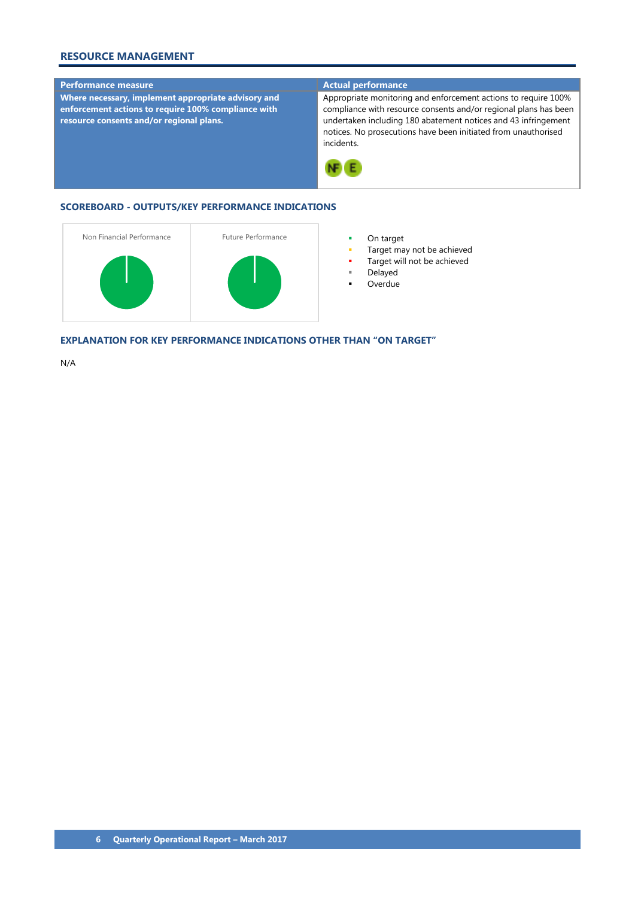# **RESOURCE MANAGEMENT**

## **Performance measure Actual performance**

**Where necessary, implement appropriate advisory and enforcement actions to require 100% compliance with resource consents and/or regional plans.**

Appropriate monitoring and enforcement actions to require 100% compliance with resource consents and/or regional plans has been undertaken including 180 abatement notices and 43 infringement notices. No prosecutions have been initiated from unauthorised incidents.



## **SCOREBOARD - OUTPUTS/KEY PERFORMANCE INDICATIONS**



- 
- Target may not be achieved
- Target will not be achieved
- Delayed
- Overdue

**EXPLANATION FOR KEY PERFORMANCE INDICATIONS OTHER THAN "ON TARGET"**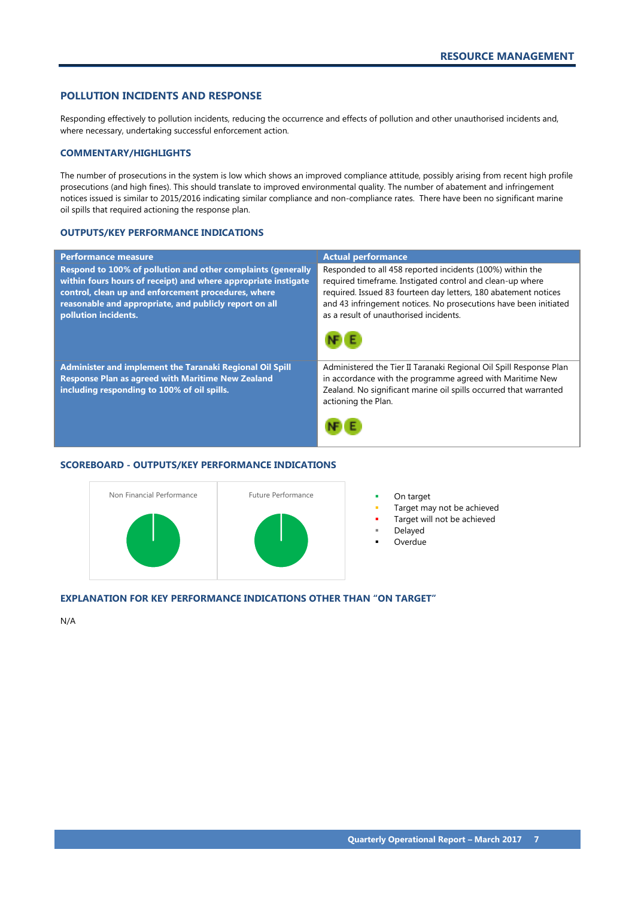# <span id="page-8-0"></span>**POLLUTION INCIDENTS AND RESPONSE**

Responding effectively to pollution incidents, reducing the occurrence and effects of pollution and other unauthorised incidents and, where necessary, undertaking successful enforcement action.

#### **COMMENTARY/HIGHLIGHTS**

The number of prosecutions in the system is low which shows an improved compliance attitude, possibly arising from recent high profile prosecutions (and high fines). This should translate to improved environmental quality. The number of abatement and infringement notices issued is similar to 2015/2016 indicating similar compliance and non-compliance rates. There have been no significant marine oil spills that required actioning the response plan.

#### **OUTPUTS/KEY PERFORMANCE INDICATIONS**

| <b>Performance measure</b>                                                                                                                                                                                                                                              | <b>Actual performance</b>                                                                                                                                                                                                                                                                               |
|-------------------------------------------------------------------------------------------------------------------------------------------------------------------------------------------------------------------------------------------------------------------------|---------------------------------------------------------------------------------------------------------------------------------------------------------------------------------------------------------------------------------------------------------------------------------------------------------|
| Respond to 100% of pollution and other complaints (generally<br>within fours hours of receipt) and where appropriate instigate<br>control, clean up and enforcement procedures, where<br>reasonable and appropriate, and publicly report on all<br>pollution incidents. | Responded to all 458 reported incidents (100%) within the<br>required timeframe. Instigated control and clean-up where<br>required. Issued 83 fourteen day letters, 180 abatement notices<br>and 43 infringement notices. No prosecutions have been initiated<br>as a result of unauthorised incidents. |
| Administer and implement the Taranaki Regional Oil Spill<br><b>Response Plan as agreed with Maritime New Zealand</b><br>including responding to 100% of oil spills.                                                                                                     | Administered the Tier II Taranaki Regional Oil Spill Response Plan<br>in accordance with the programme agreed with Maritime New<br>Zealand. No significant marine oil spills occurred that warranted<br>actioning the Plan.                                                                             |

# **SCOREBOARD - OUTPUTS/KEY PERFORMANCE INDICATIONS**



- 
- Target may not be achieved
- Target will not be achieved
- Delayed
- **Overdue**

# **EXPLANATION FOR KEY PERFORMANCE INDICATIONS OTHER THAN "ON TARGET"**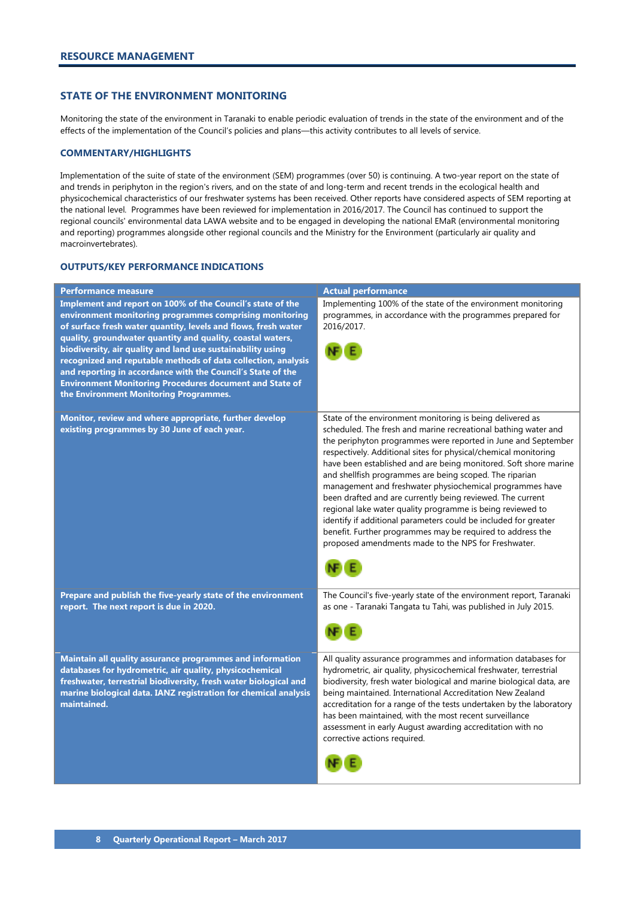## <span id="page-9-0"></span>**STATE OF THE ENVIRONMENT MONITORING**

Monitoring the state of the environment in Taranaki to enable periodic evaluation of trends in the state of the environment and of the effects of the implementation of the Council's policies and plans—this activity contributes to all levels of service.

#### **COMMENTARY/HIGHLIGHTS**

Implementation of the suite of state of the environment (SEM) programmes (over 50) is continuing. A two-year report on the state of and trends in periphyton in the region's rivers, and on the state of and long-term and recent trends in the ecological health and physicochemical characteristics of our freshwater systems has been received. Other reports have considered aspects of SEM reporting at the national level. Programmes have been reviewed for implementation in 2016/2017. The Council has continued to support the regional councils' environmental data LAWA website and to be engaged in developing the national EMaR (environmental monitoring and reporting) programmes alongside other regional councils and the Ministry for the Environment (particularly air quality and macroinvertebrates).

| <b>Performance measure</b>                                                                                                                                                                                                                                                                                                                                                                                                                                                                                                                                       | <b>Actual performance</b>                                                                                                                                                                                                                                                                                                                                                                                                                                                                                                                                                                                                                                                                                                                                                      |
|------------------------------------------------------------------------------------------------------------------------------------------------------------------------------------------------------------------------------------------------------------------------------------------------------------------------------------------------------------------------------------------------------------------------------------------------------------------------------------------------------------------------------------------------------------------|--------------------------------------------------------------------------------------------------------------------------------------------------------------------------------------------------------------------------------------------------------------------------------------------------------------------------------------------------------------------------------------------------------------------------------------------------------------------------------------------------------------------------------------------------------------------------------------------------------------------------------------------------------------------------------------------------------------------------------------------------------------------------------|
| Implement and report on 100% of the Council's state of the<br>environment monitoring programmes comprising monitoring<br>of surface fresh water quantity, levels and flows, fresh water<br>quality, groundwater quantity and quality, coastal waters,<br>biodiversity, air quality and land use sustainability using<br>recognized and reputable methods of data collection, analysis<br>and reporting in accordance with the Council's State of the<br><b>Environment Monitoring Procedures document and State of</b><br>the Environment Monitoring Programmes. | Implementing 100% of the state of the environment monitoring<br>programmes, in accordance with the programmes prepared for<br>2016/2017.                                                                                                                                                                                                                                                                                                                                                                                                                                                                                                                                                                                                                                       |
| Monitor, review and where appropriate, further develop<br>existing programmes by 30 June of each year.                                                                                                                                                                                                                                                                                                                                                                                                                                                           | State of the environment monitoring is being delivered as<br>scheduled. The fresh and marine recreational bathing water and<br>the periphyton programmes were reported in June and September<br>respectively. Additional sites for physical/chemical monitoring<br>have been established and are being monitored. Soft shore marine<br>and shellfish programmes are being scoped. The riparian<br>management and freshwater physiochemical programmes have<br>been drafted and are currently being reviewed. The current<br>regional lake water quality programme is being reviewed to<br>identify if additional parameters could be included for greater<br>benefit. Further programmes may be required to address the<br>proposed amendments made to the NPS for Freshwater. |
| Prepare and publish the five-yearly state of the environment<br>report. The next report is due in 2020.                                                                                                                                                                                                                                                                                                                                                                                                                                                          | The Council's five-yearly state of the environment report, Taranaki<br>as one - Taranaki Tangata tu Tahi, was published in July 2015.                                                                                                                                                                                                                                                                                                                                                                                                                                                                                                                                                                                                                                          |
| Maintain all quality assurance programmes and information<br>databases for hydrometric, air quality, physicochemical<br>freshwater, terrestrial biodiversity, fresh water biological and<br>marine biological data. IANZ registration for chemical analysis<br>maintained.                                                                                                                                                                                                                                                                                       | All quality assurance programmes and information databases for<br>hydrometric, air quality, physicochemical freshwater, terrestrial<br>biodiversity, fresh water biological and marine biological data, are<br>being maintained. International Accreditation New Zealand<br>accreditation for a range of the tests undertaken by the laboratory<br>has been maintained, with the most recent surveillance<br>assessment in early August awarding accreditation with no<br>corrective actions required.                                                                                                                                                                                                                                                                         |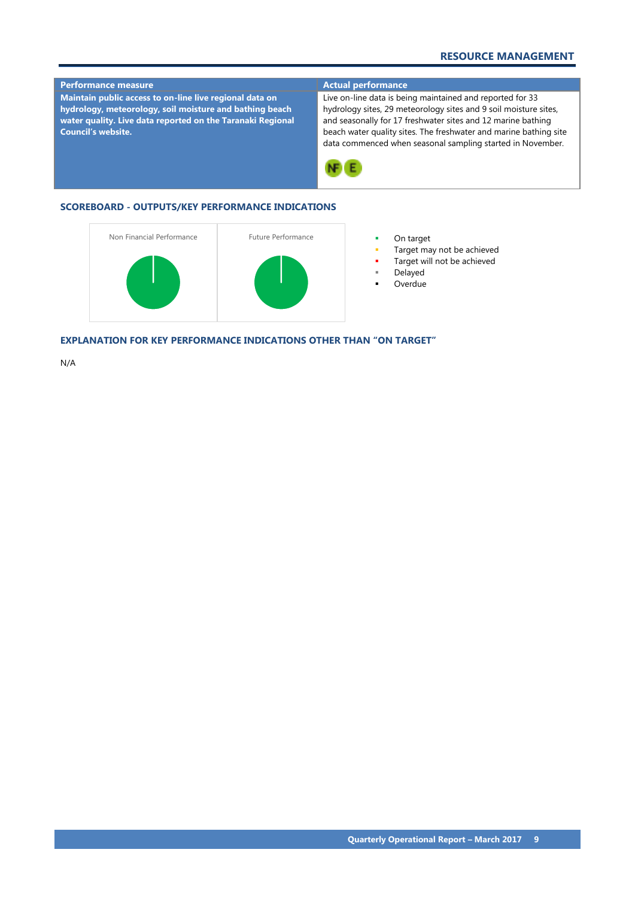# **RESOURCE MANAGEMENT**



- Target may not be achieved
- Target will not be achieved
- Delayed
- Overdue

**EXPLANATION FOR KEY PERFORMANCE INDICATIONS OTHER THAN "ON TARGET"**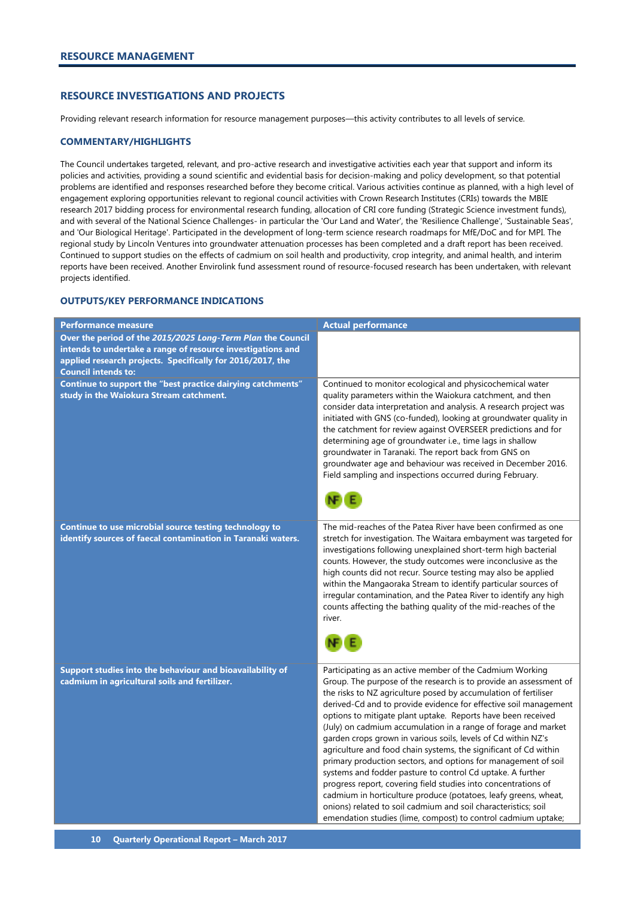# <span id="page-11-0"></span>**RESOURCE INVESTIGATIONS AND PROJECTS**

Providing relevant research information for resource management purposes—this activity contributes to all levels of service.

#### **COMMENTARY/HIGHLIGHTS**

The Council undertakes targeted, relevant, and pro-active research and investigative activities each year that support and inform its policies and activities, providing a sound scientific and evidential basis for decision-making and policy development, so that potential problems are identified and responses researched before they become critical. Various activities continue as planned, with a high level of engagement exploring opportunities relevant to regional council activities with Crown Research Institutes (CRIs) towards the MBIE research 2017 bidding process for environmental research funding, allocation of CRI core funding (Strategic Science investment funds), and with several of the National Science Challenges- in particular the 'Our Land and Water', the 'Resilience Challenge', 'Sustainable Seas', and 'Our Biological Heritage'. Participated in the development of long-term science research roadmaps for MfE/DoC and for MPI. The regional study by Lincoln Ventures into groundwater attenuation processes has been completed and a draft report has been received. Continued to support studies on the effects of cadmium on soil health and productivity, crop integrity, and animal health, and interim reports have been received. Another Envirolink fund assessment round of resource-focused research has been undertaken, with relevant projects identified.

| <b>Performance measure</b>                                                                                                                                                                                             | <b>Actual performance</b>                                                                                                                                                                                                                                                                                                                                                                                                                                                                                                                                                                                                                                                                                                                                                                                                                                                                                                                           |
|------------------------------------------------------------------------------------------------------------------------------------------------------------------------------------------------------------------------|-----------------------------------------------------------------------------------------------------------------------------------------------------------------------------------------------------------------------------------------------------------------------------------------------------------------------------------------------------------------------------------------------------------------------------------------------------------------------------------------------------------------------------------------------------------------------------------------------------------------------------------------------------------------------------------------------------------------------------------------------------------------------------------------------------------------------------------------------------------------------------------------------------------------------------------------------------|
| Over the period of the 2015/2025 Long-Term Plan the Council<br>intends to undertake a range of resource investigations and<br>applied research projects. Specifically for 2016/2017, the<br><b>Council intends to:</b> |                                                                                                                                                                                                                                                                                                                                                                                                                                                                                                                                                                                                                                                                                                                                                                                                                                                                                                                                                     |
| Continue to support the "best practice dairying catchments"<br>study in the Waiokura Stream catchment.                                                                                                                 | Continued to monitor ecological and physicochemical water<br>quality parameters within the Waiokura catchment, and then<br>consider data interpretation and analysis. A research project was<br>initiated with GNS (co-funded), looking at groundwater quality in<br>the catchment for review against OVERSEER predictions and for<br>determining age of groundwater i.e., time lags in shallow<br>groundwater in Taranaki. The report back from GNS on<br>groundwater age and behaviour was received in December 2016.<br>Field sampling and inspections occurred during February.                                                                                                                                                                                                                                                                                                                                                                 |
| Continue to use microbial source testing technology to<br>identify sources of faecal contamination in Taranaki waters.                                                                                                 | The mid-reaches of the Patea River have been confirmed as one<br>stretch for investigation. The Waitara embayment was targeted for<br>investigations following unexplained short-term high bacterial<br>counts. However, the study outcomes were inconclusive as the<br>high counts did not recur. Source testing may also be applied<br>within the Mangaoraka Stream to identify particular sources of<br>irregular contamination, and the Patea River to identify any high<br>counts affecting the bathing quality of the mid-reaches of the<br>river.                                                                                                                                                                                                                                                                                                                                                                                            |
| Support studies into the behaviour and bioavailability of<br>cadmium in agricultural soils and fertilizer.                                                                                                             | Participating as an active member of the Cadmium Working<br>Group. The purpose of the research is to provide an assessment of<br>the risks to NZ agriculture posed by accumulation of fertiliser<br>derived-Cd and to provide evidence for effective soil management<br>options to mitigate plant uptake. Reports have been received<br>(July) on cadmium accumulation in a range of forage and market<br>garden crops grown in various soils, levels of Cd within NZ's<br>agriculture and food chain systems, the significant of Cd within<br>primary production sectors, and options for management of soil<br>systems and fodder pasture to control Cd uptake. A further<br>progress report, covering field studies into concentrations of<br>cadmium in horticulture produce (potatoes, leafy greens, wheat,<br>onions) related to soil cadmium and soil characteristics; soil<br>emendation studies (lime, compost) to control cadmium uptake; |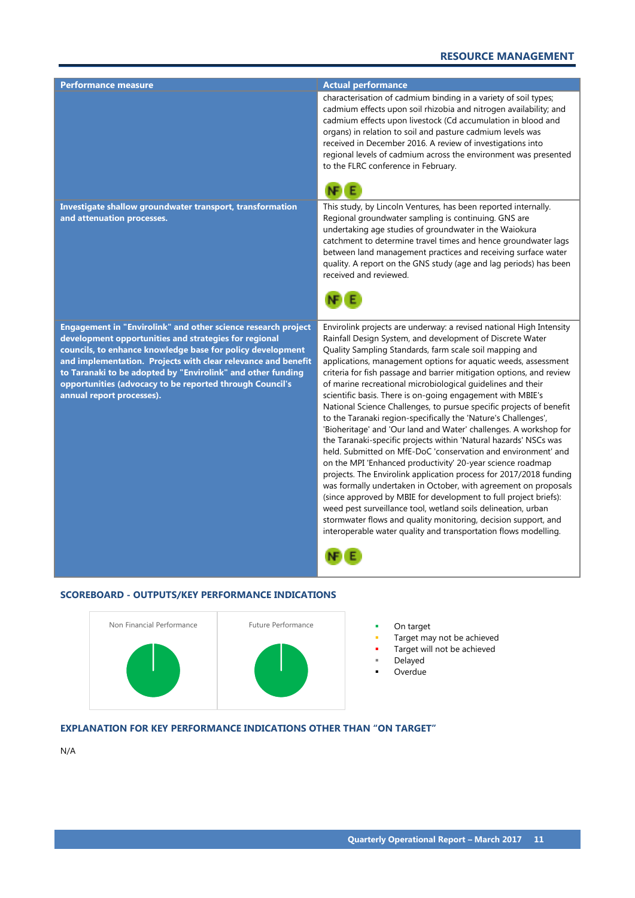# **RESOURCE MANAGEMENT**

| <u>Perfo</u> rmance measure                                                                                                                                                                                                                                                                                                                                                                                   | <b>Actual performance</b>                                                                                                                                                                                                                                                                                                                                                                                                                                                                                                                                                                                                                                                                                                                                                                                                                                                                                                                                                                                                                                                                                                                                                                                                                                                                              |
|---------------------------------------------------------------------------------------------------------------------------------------------------------------------------------------------------------------------------------------------------------------------------------------------------------------------------------------------------------------------------------------------------------------|--------------------------------------------------------------------------------------------------------------------------------------------------------------------------------------------------------------------------------------------------------------------------------------------------------------------------------------------------------------------------------------------------------------------------------------------------------------------------------------------------------------------------------------------------------------------------------------------------------------------------------------------------------------------------------------------------------------------------------------------------------------------------------------------------------------------------------------------------------------------------------------------------------------------------------------------------------------------------------------------------------------------------------------------------------------------------------------------------------------------------------------------------------------------------------------------------------------------------------------------------------------------------------------------------------|
|                                                                                                                                                                                                                                                                                                                                                                                                               | characterisation of cadmium binding in a variety of soil types;<br>cadmium effects upon soil rhizobia and nitrogen availability; and<br>cadmium effects upon livestock (Cd accumulation in blood and<br>organs) in relation to soil and pasture cadmium levels was<br>received in December 2016. A review of investigations into<br>regional levels of cadmium across the environment was presented<br>to the FLRC conference in February.                                                                                                                                                                                                                                                                                                                                                                                                                                                                                                                                                                                                                                                                                                                                                                                                                                                             |
| Investigate shallow groundwater transport, transformation<br>and attenuation processes.                                                                                                                                                                                                                                                                                                                       | This study, by Lincoln Ventures, has been reported internally.<br>Regional groundwater sampling is continuing. GNS are<br>undertaking age studies of groundwater in the Waiokura<br>catchment to determine travel times and hence groundwater lags<br>between land management practices and receiving surface water<br>quality. A report on the GNS study (age and lag periods) has been<br>received and reviewed.                                                                                                                                                                                                                                                                                                                                                                                                                                                                                                                                                                                                                                                                                                                                                                                                                                                                                     |
| Engagement in "Envirolink" and other science research project<br>development opportunities and strategies for regional<br>councils, to enhance knowledge base for policy development<br>and implementation. Projects with clear relevance and benefit<br>to Taranaki to be adopted by "Envirolink" and other funding<br>opportunities (advocacy to be reported through Council's<br>annual report processes). | Envirolink projects are underway: a revised national High Intensity<br>Rainfall Design System, and development of Discrete Water<br>Quality Sampling Standards, farm scale soil mapping and<br>applications, management options for aquatic weeds, assessment<br>criteria for fish passage and barrier mitigation options, and review<br>of marine recreational microbiological guidelines and their<br>scientific basis. There is on-going engagement with MBIE's<br>National Science Challenges, to pursue specific projects of benefit<br>to the Taranaki region-specifically the 'Nature's Challenges',<br>'Bioheritage' and 'Our land and Water' challenges. A workshop for<br>the Taranaki-specific projects within 'Natural hazards' NSCs was<br>held. Submitted on MfE-DoC 'conservation and environment' and<br>on the MPI 'Enhanced productivity' 20-year science roadmap<br>projects. The Envirolink application process for 2017/2018 funding<br>was formally undertaken in October, with agreement on proposals<br>(since approved by MBIE for development to full project briefs):<br>weed pest surveillance tool, wetland soils delineation, urban<br>stormwater flows and quality monitoring, decision support, and<br>interoperable water quality and transportation flows modelling. |

# **SCOREBOARD - OUTPUTS/KEY PERFORMANCE INDICATIONS**



- 
- Target may not be achieved
- Target will not be achieved
- Delayed **D**verdue
- **EXPLANATION FOR KEY PERFORMANCE INDICATIONS OTHER THAN "ON TARGET"**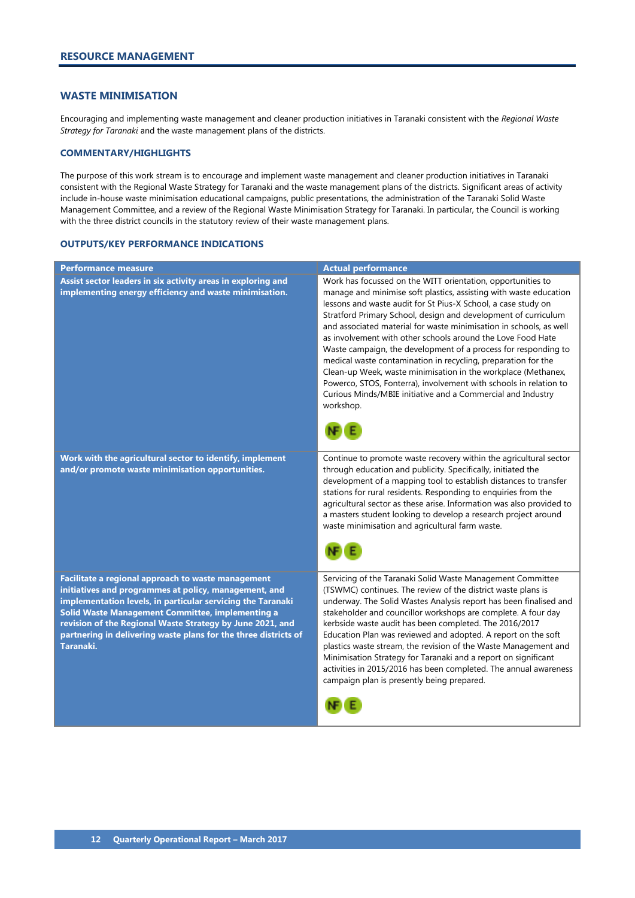#### <span id="page-13-0"></span>**WASTE MINIMISATION**

Encouraging and implementing waste management and cleaner production initiatives in Taranaki consistent with the *Regional Waste Strategy for Taranaki* and the waste management plans of the districts.

#### **COMMENTARY/HIGHLIGHTS**

The purpose of this work stream is to encourage and implement waste management and cleaner production initiatives in Taranaki consistent with the Regional Waste Strategy for Taranaki and the waste management plans of the districts. Significant areas of activity include in-house waste minimisation educational campaigns, public presentations, the administration of the Taranaki Solid Waste Management Committee, and a review of the Regional Waste Minimisation Strategy for Taranaki. In particular, the Council is working with the three district councils in the statutory review of their waste management plans.

| Performance measure                                                                                                                                                                                                                                                                                                                                                         | <b>Actual performance</b>                                                                                                                                                                                                                                                                                                                                                                                                                                                                                                                                                                                                                                                                                                                                     |
|-----------------------------------------------------------------------------------------------------------------------------------------------------------------------------------------------------------------------------------------------------------------------------------------------------------------------------------------------------------------------------|---------------------------------------------------------------------------------------------------------------------------------------------------------------------------------------------------------------------------------------------------------------------------------------------------------------------------------------------------------------------------------------------------------------------------------------------------------------------------------------------------------------------------------------------------------------------------------------------------------------------------------------------------------------------------------------------------------------------------------------------------------------|
| Assist sector leaders in six activity areas in exploring and<br>implementing energy efficiency and waste minimisation.                                                                                                                                                                                                                                                      | Work has focussed on the WITT orientation, opportunities to<br>manage and minimise soft plastics, assisting with waste education<br>lessons and waste audit for St Pius-X School, a case study on<br>Stratford Primary School, design and development of curriculum<br>and associated material for waste minimisation in schools, as well<br>as involvement with other schools around the Love Food Hate<br>Waste campaign, the development of a process for responding to<br>medical waste contamination in recycling, preparation for the<br>Clean-up Week, waste minimisation in the workplace (Methanex,<br>Powerco, STOS, Fonterra), involvement with schools in relation to<br>Curious Minds/MBIE initiative and a Commercial and Industry<br>workshop. |
| Work with the agricultural sector to identify, implement<br>and/or promote waste minimisation opportunities.                                                                                                                                                                                                                                                                | Continue to promote waste recovery within the agricultural sector<br>through education and publicity. Specifically, initiated the<br>development of a mapping tool to establish distances to transfer<br>stations for rural residents. Responding to enquiries from the<br>agricultural sector as these arise. Information was also provided to<br>a masters student looking to develop a research project around<br>waste minimisation and agricultural farm waste.                                                                                                                                                                                                                                                                                          |
| Facilitate a regional approach to waste management<br>initiatives and programmes at policy, management, and<br>implementation levels, in particular servicing the Taranaki<br>Solid Waste Management Committee, implementing a<br>revision of the Regional Waste Strategy by June 2021, and<br>partnering in delivering waste plans for the three districts of<br>Taranaki. | Servicing of the Taranaki Solid Waste Management Committee<br>(TSWMC) continues. The review of the district waste plans is<br>underway. The Solid Wastes Analysis report has been finalised and<br>stakeholder and councillor workshops are complete. A four day<br>kerbside waste audit has been completed. The 2016/2017<br>Education Plan was reviewed and adopted. A report on the soft<br>plastics waste stream, the revision of the Waste Management and<br>Minimisation Strategy for Taranaki and a report on significant<br>activities in 2015/2016 has been completed. The annual awareness<br>campaign plan is presently being prepared.                                                                                                            |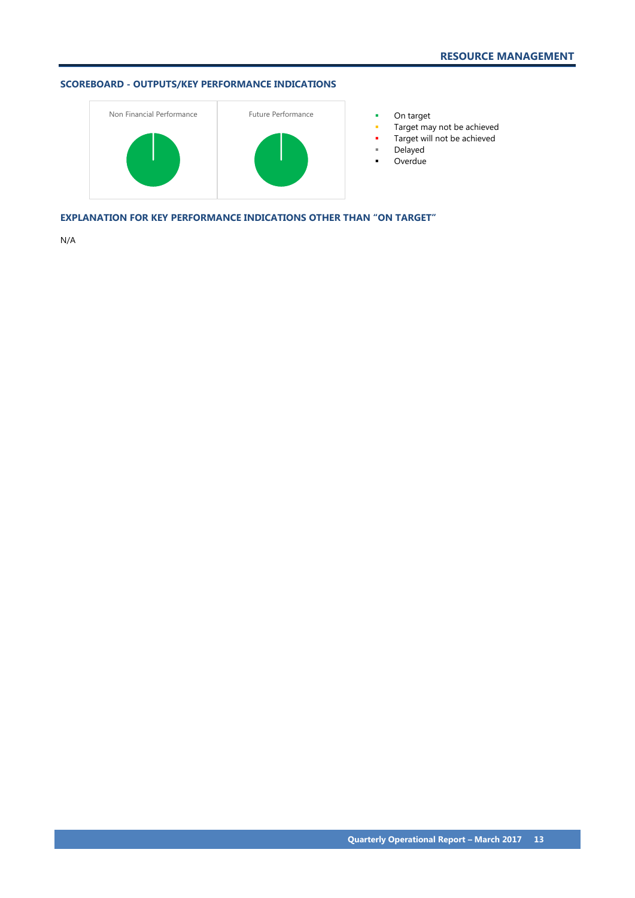# **SCOREBOARD - OUTPUTS/KEY PERFORMANCE INDICATIONS**



- 
- Target may not be achieved
- **Target will not be achieved**
- Delayed
- **-** Overdue

**EXPLANATION FOR KEY PERFORMANCE INDICATIONS OTHER THAN "ON TARGET"**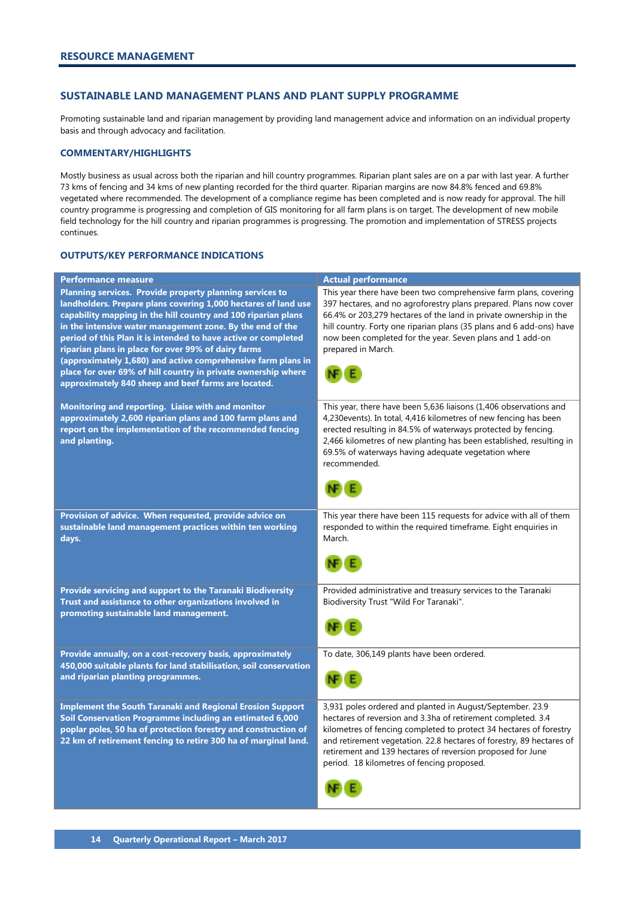#### <span id="page-15-0"></span>**SUSTAINABLE LAND MANAGEMENT PLANS AND PLANT SUPPLY PROGRAMME**

Promoting sustainable land and riparian management by providing land management advice and information on an individual property basis and through advocacy and facilitation.

#### **COMMENTARY/HIGHLIGHTS**

Mostly business as usual across both the riparian and hill country programmes. Riparian plant sales are on a par with last year. A further 73 kms of fencing and 34 kms of new planting recorded for the third quarter. Riparian margins are now 84.8% fenced and 69.8% vegetated where recommended. The development of a compliance regime has been completed and is now ready for approval. The hill country programme is progressing and completion of GIS monitoring for all farm plans is on target. The development of new mobile field technology for the hill country and riparian programmes is progressing. The promotion and implementation of STRESS projects continues.

| Performance measure                                                                                                                                                                                                                                                                                                                                                                                                                                                                                                                                                       | <b>Actual performance</b>                                                                                                                                                                                                                                                                                                                                                           |
|---------------------------------------------------------------------------------------------------------------------------------------------------------------------------------------------------------------------------------------------------------------------------------------------------------------------------------------------------------------------------------------------------------------------------------------------------------------------------------------------------------------------------------------------------------------------------|-------------------------------------------------------------------------------------------------------------------------------------------------------------------------------------------------------------------------------------------------------------------------------------------------------------------------------------------------------------------------------------|
| Planning services. Provide property planning services to<br>landholders. Prepare plans covering 1,000 hectares of land use<br>capability mapping in the hill country and 100 riparian plans<br>in the intensive water management zone. By the end of the<br>period of this Plan it is intended to have active or completed<br>riparian plans in place for over 99% of dairy farms<br>(approximately 1,680) and active comprehensive farm plans in<br>place for over 69% of hill country in private ownership where<br>approximately 840 sheep and beef farms are located. | This year there have been two comprehensive farm plans, covering<br>397 hectares, and no agroforestry plans prepared. Plans now cover<br>66.4% or 203,279 hectares of the land in private ownership in the<br>hill country. Forty one riparian plans (35 plans and 6 add-ons) have<br>now been completed for the year. Seven plans and 1 add-on<br>prepared in March.               |
| Monitoring and reporting. Liaise with and monitor<br>approximately 2,600 riparian plans and 100 farm plans and<br>report on the implementation of the recommended fencing<br>and planting.                                                                                                                                                                                                                                                                                                                                                                                | This year, there have been 5,636 liaisons (1,406 observations and<br>4,230events). In total, 4,416 kilometres of new fencing has been<br>erected resulting in 84.5% of waterways protected by fencing.<br>2,466 kilometres of new planting has been established, resulting in<br>69.5% of waterways having adequate vegetation where<br>recommended.                                |
| Provision of advice. When requested, provide advice on<br>sustainable land management practices within ten working<br>days.                                                                                                                                                                                                                                                                                                                                                                                                                                               | This year there have been 115 requests for advice with all of them<br>responded to within the required timeframe. Eight enquiries in<br>March.                                                                                                                                                                                                                                      |
| Provide servicing and support to the Taranaki Biodiversity<br>Trust and assistance to other organizations involved in<br>promoting sustainable land management.                                                                                                                                                                                                                                                                                                                                                                                                           | Provided administrative and treasury services to the Taranaki<br>Biodiversity Trust "Wild For Taranaki".                                                                                                                                                                                                                                                                            |
| Provide annually, on a cost-recovery basis, approximately<br>450,000 suitable plants for land stabilisation, soil conservation<br>and riparian planting programmes.                                                                                                                                                                                                                                                                                                                                                                                                       | To date, 306,149 plants have been ordered.                                                                                                                                                                                                                                                                                                                                          |
| <b>Implement the South Taranaki and Regional Erosion Support</b><br>Soil Conservation Programme including an estimated 6,000<br>poplar poles, 50 ha of protection forestry and construction of<br>22 km of retirement fencing to retire 300 ha of marginal land.                                                                                                                                                                                                                                                                                                          | 3,931 poles ordered and planted in August/September. 23.9<br>hectares of reversion and 3.3ha of retirement completed. 3.4<br>kilometres of fencing completed to protect 34 hectares of forestry<br>and retirement vegetation. 22.8 hectares of forestry, 89 hectares of<br>retirement and 139 hectares of reversion proposed for June<br>period. 18 kilometres of fencing proposed. |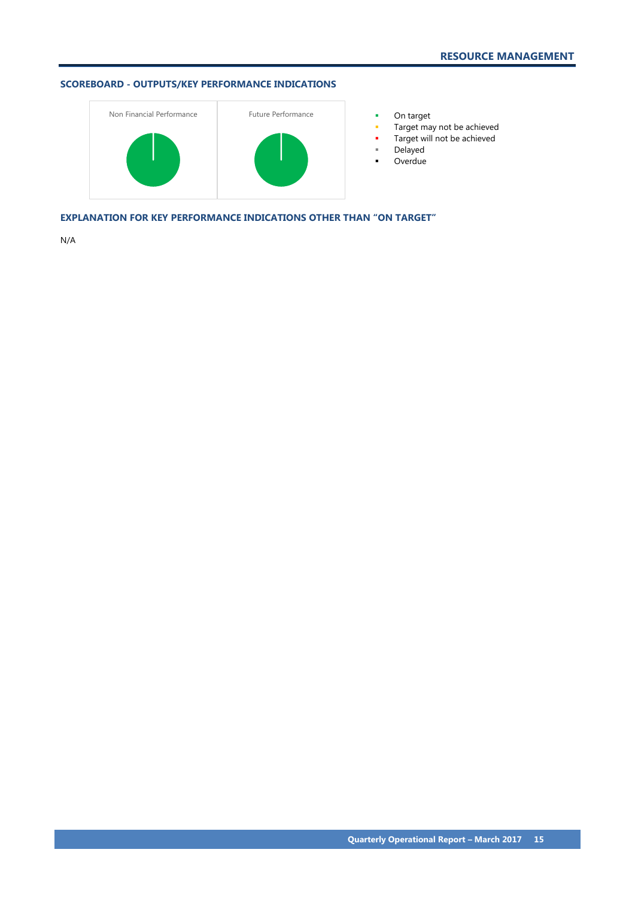# **SCOREBOARD - OUTPUTS/KEY PERFORMANCE INDICATIONS**



- 
- Target may not be achieved
- **Target will not be achieved**
- Delayed
- **-** Overdue

**EXPLANATION FOR KEY PERFORMANCE INDICATIONS OTHER THAN "ON TARGET"**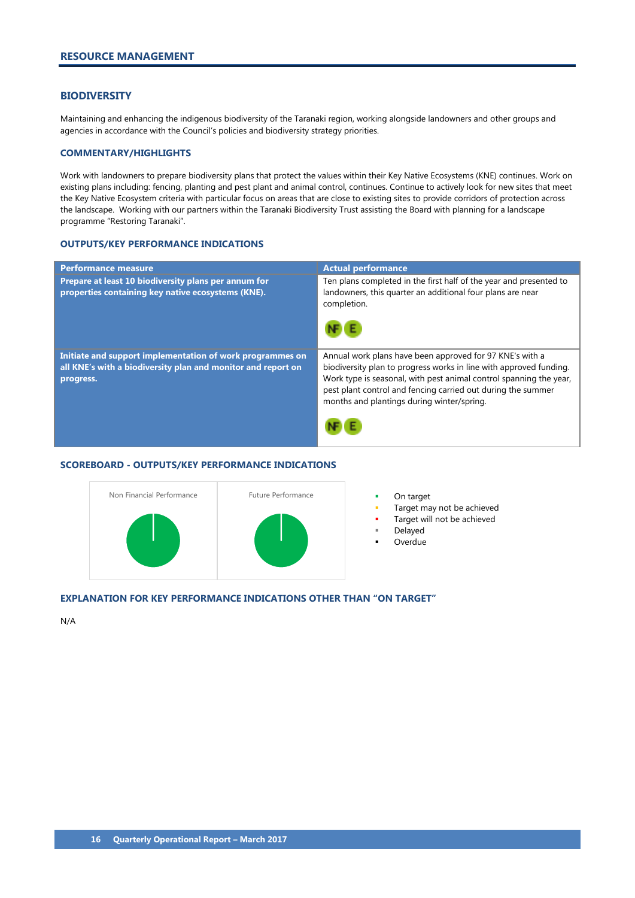#### <span id="page-17-0"></span>**BIODIVERSITY**

Maintaining and enhancing the indigenous biodiversity of the Taranaki region, working alongside landowners and other groups and agencies in accordance with the Council's policies and biodiversity strategy priorities.

#### **COMMENTARY/HIGHLIGHTS**

Work with landowners to prepare biodiversity plans that protect the values within their Key Native Ecosystems (KNE) continues. Work on existing plans including: fencing, planting and pest plant and animal control, continues. Continue to actively look for new sites that meet the Key Native Ecosystem criteria with particular focus on areas that are close to existing sites to provide corridors of protection across the landscape. Working with our partners within the Taranaki Biodiversity Trust assisting the Board with planning for a landscape programme "Restoring Taranaki".

#### **OUTPUTS/KEY PERFORMANCE INDICATIONS**

| <b>Performance measure</b>                                                                                                             | <b>Actual performance</b>                                                                                                                                                                                                                                                                                          |
|----------------------------------------------------------------------------------------------------------------------------------------|--------------------------------------------------------------------------------------------------------------------------------------------------------------------------------------------------------------------------------------------------------------------------------------------------------------------|
| Prepare at least 10 biodiversity plans per annum for<br>properties containing key native ecosystems (KNE).                             | Ten plans completed in the first half of the year and presented to<br>landowners, this quarter an additional four plans are near<br>completion.                                                                                                                                                                    |
|                                                                                                                                        |                                                                                                                                                                                                                                                                                                                    |
| Initiate and support implementation of work programmes on<br>all KNE's with a biodiversity plan and monitor and report on<br>progress. | Annual work plans have been approved for 97 KNE's with a<br>biodiversity plan to progress works in line with approved funding.<br>Work type is seasonal, with pest animal control spanning the year,<br>pest plant control and fencing carried out during the summer<br>months and plantings during winter/spring. |
|                                                                                                                                        |                                                                                                                                                                                                                                                                                                                    |

# **SCOREBOARD - OUTPUTS/KEY PERFORMANCE INDICATIONS**



- 
- Target may not be achieved
- Target will not be achieved
- Delayed
- **Overdue**

#### **EXPLANATION FOR KEY PERFORMANCE INDICATIONS OTHER THAN "ON TARGET"**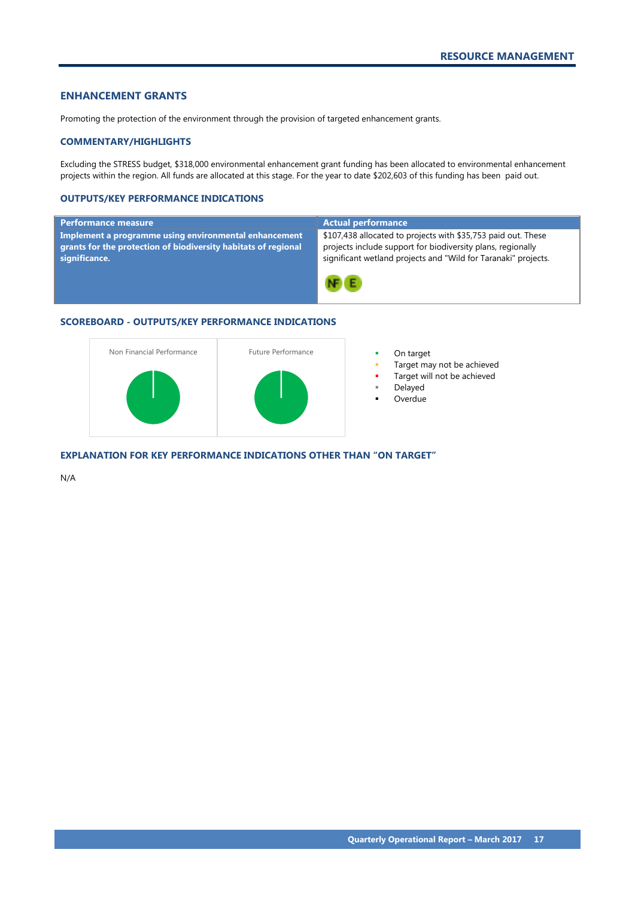# <span id="page-18-0"></span>**ENHANCEMENT GRANTS**

Promoting the protection of the environment through the provision of targeted enhancement grants.

#### **COMMENTARY/HIGHLIGHTS**

Excluding the STRESS budget, \$318,000 environmental enhancement grant funding has been allocated to environmental enhancement projects within the region. All funds are allocated at this stage. For the year to date \$202,603 of this funding has been paid out.

#### **OUTPUTS/KEY PERFORMANCE INDICATIONS**

| Performance measure                                                                                                                      | <b>Actual performance</b>                                                                                                                                                                      |
|------------------------------------------------------------------------------------------------------------------------------------------|------------------------------------------------------------------------------------------------------------------------------------------------------------------------------------------------|
| Implement a programme using environmental enhancement<br>grants for the protection of biodiversity habitats of regional<br>significance. | \$107,438 allocated to projects with \$35,753 paid out. These<br>projects include support for biodiversity plans, regionally<br>significant wetland projects and "Wild for Taranaki" projects. |
|                                                                                                                                          | NF E                                                                                                                                                                                           |

# **SCOREBOARD - OUTPUTS/KEY PERFORMANCE INDICATIONS**



- 
- Target may not be achieved
- Target will not be achieved
- Delayed
- Overdue

**EXPLANATION FOR KEY PERFORMANCE INDICATIONS OTHER THAN "ON TARGET"**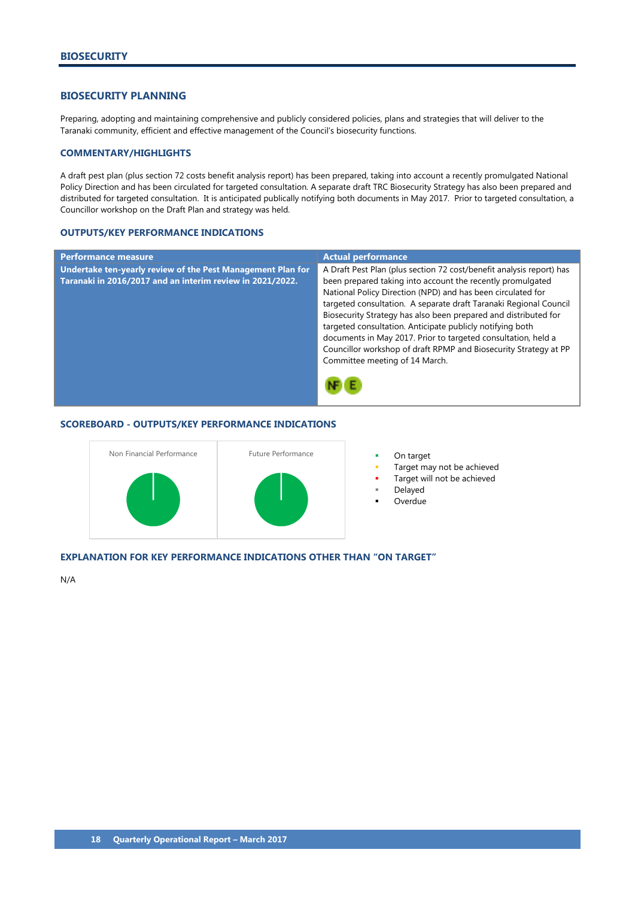## <span id="page-19-0"></span>**BIOSECURITY PLANNING**

Preparing, adopting and maintaining comprehensive and publicly considered policies, plans and strategies that will deliver to the Taranaki community, efficient and effective management of the Council's biosecurity functions.

#### **COMMENTARY/HIGHLIGHTS**

A draft pest plan (plus section 72 costs benefit analysis report) has been prepared, taking into account a recently promulgated National Policy Direction and has been circulated for targeted consultation. A separate draft TRC Biosecurity Strategy has also been prepared and distributed for targeted consultation. It is anticipated publically notifying both documents in May 2017. Prior to targeted consultation, a Councillor workshop on the Draft Plan and strategy was held.

#### **OUTPUTS/KEY PERFORMANCE INDICATIONS**

| <b>Performance measure</b>                                                                                               | <b>Actual performance</b>                                                                                                                                                                                                                                                                                                                                                                                                                                                                                                                                                     |
|--------------------------------------------------------------------------------------------------------------------------|-------------------------------------------------------------------------------------------------------------------------------------------------------------------------------------------------------------------------------------------------------------------------------------------------------------------------------------------------------------------------------------------------------------------------------------------------------------------------------------------------------------------------------------------------------------------------------|
| Undertake ten-yearly review of the Pest Management Plan for<br>Taranaki in 2016/2017 and an interim review in 2021/2022. | A Draft Pest Plan (plus section 72 cost/benefit analysis report) has<br>been prepared taking into account the recently promulgated<br>National Policy Direction (NPD) and has been circulated for<br>targeted consultation. A separate draft Taranaki Regional Council<br>Biosecurity Strategy has also been prepared and distributed for<br>targeted consultation. Anticipate publicly notifying both<br>documents in May 2017. Prior to targeted consultation, held a<br>Councillor workshop of draft RPMP and Biosecurity Strategy at PP<br>Committee meeting of 14 March. |
|                                                                                                                          |                                                                                                                                                                                                                                                                                                                                                                                                                                                                                                                                                                               |

#### **SCOREBOARD - OUTPUTS/KEY PERFORMANCE INDICATIONS**



- 
- Target may not be achieved
- Target will not be achieved
- Delayed
- Overdue

#### **EXPLANATION FOR KEY PERFORMANCE INDICATIONS OTHER THAN "ON TARGET"**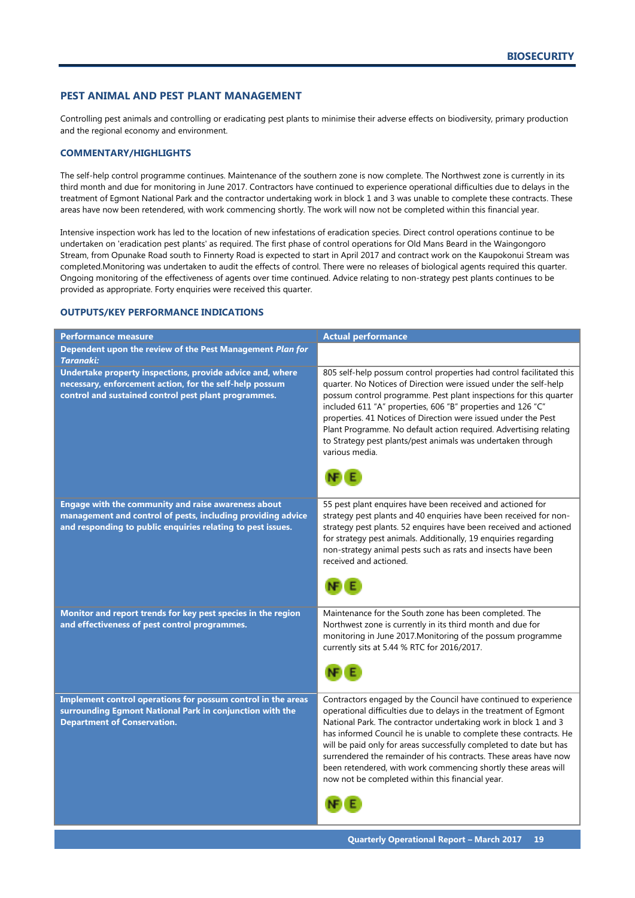## <span id="page-20-0"></span>**PEST ANIMAL AND PEST PLANT MANAGEMENT**

Controlling pest animals and controlling or eradicating pest plants to minimise their adverse effects on biodiversity, primary production and the regional economy and environment.

#### **COMMENTARY/HIGHLIGHTS**

The self-help control programme continues. Maintenance of the southern zone is now complete. The Northwest zone is currently in its third month and due for monitoring in June 2017. Contractors have continued to experience operational difficulties due to delays in the treatment of Egmont National Park and the contractor undertaking work in block 1 and 3 was unable to complete these contracts. These areas have now been retendered, with work commencing shortly. The work will now not be completed within this financial year.

Intensive inspection work has led to the location of new infestations of eradication species. Direct control operations continue to be undertaken on 'eradication pest plants' as required. The first phase of control operations for Old Mans Beard in the Waingongoro Stream, from Opunake Road south to Finnerty Road is expected to start in April 2017 and contract work on the Kaupokonui Stream was completed.Monitoring was undertaken to audit the effects of control. There were no releases of biological agents required this quarter. Ongoing monitoring of the effectiveness of agents over time continued. Advice relating to non-strategy pest plants continues to be provided as appropriate. Forty enquiries were received this quarter.

| <b>Performance measure</b>                                                                                                                                                        | <b>Actual performance</b>                                                                                                                                                                                                                                                                                                                                                                                                                                                                                                                    |
|-----------------------------------------------------------------------------------------------------------------------------------------------------------------------------------|----------------------------------------------------------------------------------------------------------------------------------------------------------------------------------------------------------------------------------------------------------------------------------------------------------------------------------------------------------------------------------------------------------------------------------------------------------------------------------------------------------------------------------------------|
| Dependent upon the review of the Pest Management Plan for<br><b>Taranaki:</b>                                                                                                     |                                                                                                                                                                                                                                                                                                                                                                                                                                                                                                                                              |
| Undertake property inspections, provide advice and, where<br>necessary, enforcement action, for the self-help possum<br>control and sustained control pest plant programmes.      | 805 self-help possum control properties had control facilitated this<br>quarter. No Notices of Direction were issued under the self-help<br>possum control programme. Pest plant inspections for this quarter                                                                                                                                                                                                                                                                                                                                |
|                                                                                                                                                                                   | included 611 "A" properties, 606 "B" properties and 126 "C"<br>properties. 41 Notices of Direction were issued under the Pest<br>Plant Programme. No default action required. Advertising relating<br>to Strategy pest plants/pest animals was undertaken through<br>various media.                                                                                                                                                                                                                                                          |
|                                                                                                                                                                                   |                                                                                                                                                                                                                                                                                                                                                                                                                                                                                                                                              |
| Engage with the community and raise awareness about<br>management and control of pests, including providing advice<br>and responding to public enquiries relating to pest issues. | 55 pest plant enquires have been received and actioned for<br>strategy pest plants and 40 enquiries have been received for non-<br>strategy pest plants. 52 enquires have been received and actioned<br>for strategy pest animals. Additionally, 19 enquiries regarding<br>non-strategy animal pests such as rats and insects have been<br>received and actioned.                                                                                                                                                                            |
|                                                                                                                                                                                   |                                                                                                                                                                                                                                                                                                                                                                                                                                                                                                                                              |
| Monitor and report trends for key pest species in the region<br>and effectiveness of pest control programmes.                                                                     | Maintenance for the South zone has been completed. The<br>Northwest zone is currently in its third month and due for<br>monitoring in June 2017. Monitoring of the possum programme<br>currently sits at 5.44 % RTC for 2016/2017.                                                                                                                                                                                                                                                                                                           |
|                                                                                                                                                                                   |                                                                                                                                                                                                                                                                                                                                                                                                                                                                                                                                              |
| Implement control operations for possum control in the areas<br>surrounding Egmont National Park in conjunction with the<br><b>Department of Conservation.</b>                    | Contractors engaged by the Council have continued to experience<br>operational difficulties due to delays in the treatment of Egmont<br>National Park. The contractor undertaking work in block 1 and 3<br>has informed Council he is unable to complete these contracts. He<br>will be paid only for areas successfully completed to date but has<br>surrendered the remainder of his contracts. These areas have now<br>been retendered, with work commencing shortly these areas will<br>now not be completed within this financial year. |
|                                                                                                                                                                                   |                                                                                                                                                                                                                                                                                                                                                                                                                                                                                                                                              |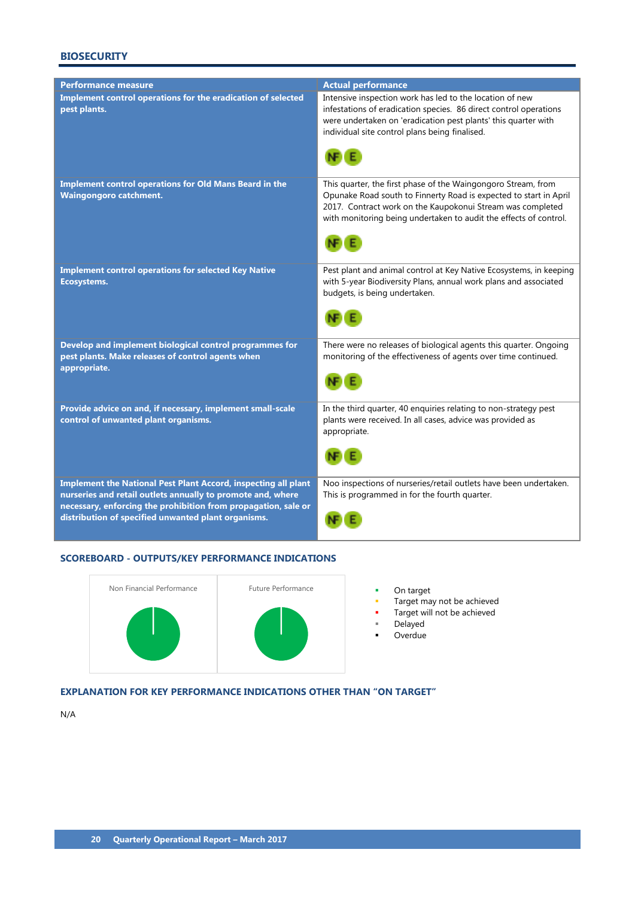# **BIOSECURITY**

| <b>Performance measure</b>                                                                                                                                                                                                                                    | <b>Actual performance</b>                                                                                                                                                                                                                                                     |
|---------------------------------------------------------------------------------------------------------------------------------------------------------------------------------------------------------------------------------------------------------------|-------------------------------------------------------------------------------------------------------------------------------------------------------------------------------------------------------------------------------------------------------------------------------|
| Implement control operations for the eradication of selected<br>pest plants.                                                                                                                                                                                  | Intensive inspection work has led to the location of new<br>infestations of eradication species. 86 direct control operations<br>were undertaken on 'eradication pest plants' this quarter with<br>individual site control plans being finalised.                             |
| Implement control operations for Old Mans Beard in the<br><b>Waingongoro catchment.</b>                                                                                                                                                                       | This quarter, the first phase of the Waingongoro Stream, from<br>Opunake Road south to Finnerty Road is expected to start in April<br>2017. Contract work on the Kaupokonui Stream was completed<br>with monitoring being undertaken to audit the effects of control.<br>NE E |
| <b>Implement control operations for selected Key Native</b><br>Ecosystems.                                                                                                                                                                                    | Pest plant and animal control at Key Native Ecosystems, in keeping<br>with 5-year Biodiversity Plans, annual work plans and associated<br>budgets, is being undertaken.                                                                                                       |
| Develop and implement biological control programmes for<br>pest plants. Make releases of control agents when<br>appropriate.                                                                                                                                  | There were no releases of biological agents this quarter. Ongoing<br>monitoring of the effectiveness of agents over time continued.                                                                                                                                           |
| Provide advice on and, if necessary, implement small-scale<br>control of unwanted plant organisms.                                                                                                                                                            | In the third quarter, 40 enquiries relating to non-strategy pest<br>plants were received. In all cases, advice was provided as<br>appropriate.                                                                                                                                |
| <b>Implement the National Pest Plant Accord, inspecting all plant</b><br>nurseries and retail outlets annually to promote and, where<br>necessary, enforcing the prohibition from propagation, sale or<br>distribution of specified unwanted plant organisms. | Noo inspections of nurseries/retail outlets have been undertaken.<br>This is programmed in for the fourth quarter.                                                                                                                                                            |

# **SCOREBOARD - OUTPUTS/KEY PERFORMANCE INDICATIONS**



- Target may not be achieved
- Target will not be achieved
- Delayed
- Overdue

# **EXPLANATION FOR KEY PERFORMANCE INDICATIONS OTHER THAN "ON TARGET"**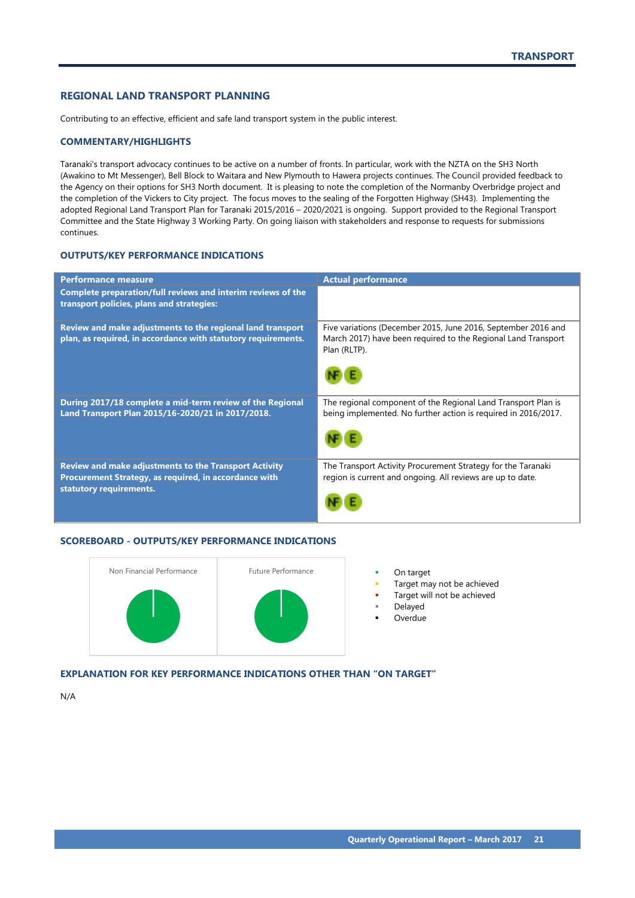# <span id="page-22-0"></span>**REGIONAL LAND TRANSPORT PLANNING**

Contributing to an effective, efficient and safe land transport system in the public interest.

#### **COMMENTARY/HIGHLIGHTS**

Taranaki's transport advocacy continues to be active on a number of fronts. In particular, work with the NZTA on the SH3 North (Awakino to Mt Messenger), Bell Block to Waitara and New Plymouth to Hawera projects continues. The Council provided feedback to the Agency on their options for SH3 North document. It is pleasing to note the completion of the Normanby Overbridge project and the completion of the Vickers to City project. The focus moves to the sealing of the Forgotten Highway (SH43). Implementing the adopted Regional Land Transport Plan for Taranaki 2015/2016 – 2020/2021 is ongoing. Support provided to the Regional Transport Committee and the State Highway 3 Working Party. On going liaison with stakeholders and response to requests for submissions continues.

# **OUTPUTS/KEY PERFORMANCE INDICATIONS**

| <b>Performance measure</b>                                                                                                                       | <b>Actual performance</b>                                                                                                                      |
|--------------------------------------------------------------------------------------------------------------------------------------------------|------------------------------------------------------------------------------------------------------------------------------------------------|
| Complete preparation/full reviews and interim reviews of the<br>transport policies, plans and strategies:                                        |                                                                                                                                                |
| Review and make adjustments to the regional land transport<br>plan, as required, in accordance with statutory requirements.                      | Five variations (December 2015, June 2016, September 2016 and<br>March 2017) have been required to the Regional Land Transport<br>Plan (RLTP). |
| During 2017/18 complete a mid-term review of the Regional<br>Land Transport Plan 2015/16-2020/21 in 2017/2018.                                   | The regional component of the Regional Land Transport Plan is<br>being implemented. No further action is required in 2016/2017.                |
| <b>Review and make adjustments to the Transport Activity</b><br>Procurement Strategy, as required, in accordance with<br>statutory requirements. | The Transport Activity Procurement Strategy for the Taranaki<br>region is current and ongoing. All reviews are up to date.                     |

#### **SCOREBOARD - OUTPUTS/KEY PERFORMANCE INDICATIONS**



- 
- Target may not be achieved
- Target will not be achieved
- Delayed
- Overdue

# **EXPLANATION FOR KEY PERFORMANCE INDICATIONS OTHER THAN "ON TARGET"**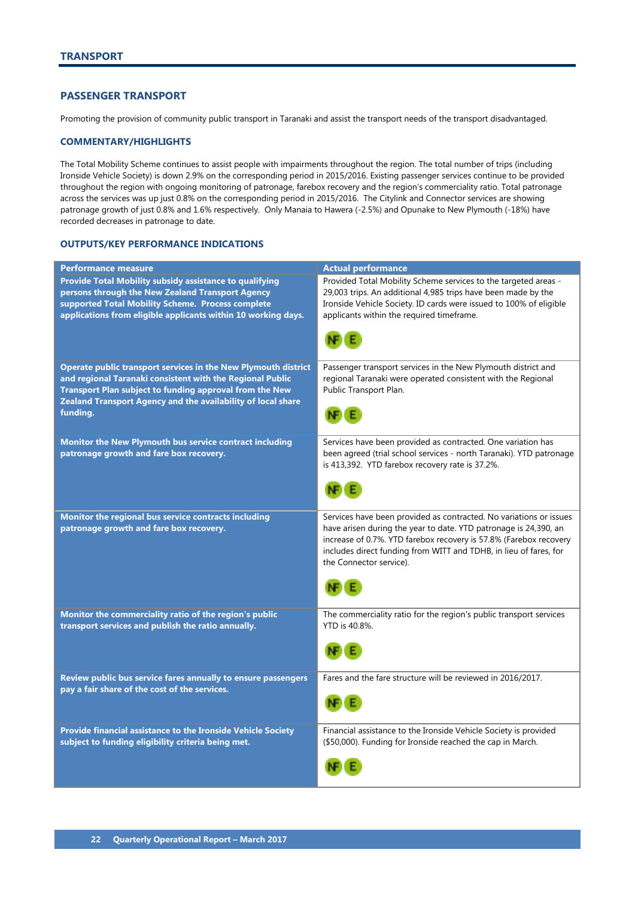# <span id="page-23-0"></span>**PASSENGER TRANSPORT**

Promoting the provision of community public transport in Taranaki and assist the transport needs of the transport disadvantaged.

### **COMMENTARY/HIGHLIGHTS**

The Total Mobility Scheme continues to assist people with impairments throughout the region. The total number of trips (including Ironside Vehicle Society) is down 2.9% on the corresponding period in 2015/2016. Existing passenger services continue to be provided throughout the region with ongoing monitoring of patronage, farebox recovery and the region's commerciality ratio. Total patronage across the services was up just 0.8% on the corresponding period in 2015/2016. The Citylink and Connector services are showing patronage growth of just 0.8% and 1.6% respectively. Only Manaia to Hawera (-2.5%) and Opunake to New Plymouth (-18%) have recorded decreases in patronage to date.

| <b>Performance measure</b>                                     | <b>Actual performance</b>                                           |
|----------------------------------------------------------------|---------------------------------------------------------------------|
| Provide Total Mobility subsidy assistance to qualifying        | Provided Total Mobility Scheme services to the targeted areas -     |
| persons through the New Zealand Transport Agency               | 29,003 trips. An additional 4,985 trips have been made by the       |
| supported Total Mobility Scheme. Process complete              | Ironside Vehicle Society. ID cards were issued to 100% of eligible  |
| applications from eligible applicants within 10 working days.  | applicants within the required timeframe.                           |
|                                                                |                                                                     |
|                                                                |                                                                     |
|                                                                |                                                                     |
| Operate public transport services in the New Plymouth district | Passenger transport services in the New Plymouth district and       |
| and regional Taranaki consistent with the Regional Public      | regional Taranaki were operated consistent with the Regional        |
| Transport Plan subject to funding approval from the New        | Public Transport Plan.                                              |
| Zealand Transport Agency and the availability of local share   |                                                                     |
| funding.                                                       |                                                                     |
|                                                                |                                                                     |
| Monitor the New Plymouth bus service contract including        | Services have been provided as contracted. One variation has        |
| patronage growth and fare box recovery.                        | been agreed (trial school services - north Taranaki). YTD patronage |
|                                                                | is 413,392. YTD farebox recovery rate is 37.2%.                     |
|                                                                |                                                                     |
|                                                                |                                                                     |
|                                                                |                                                                     |
| Monitor the regional bus service contracts including           | Services have been provided as contracted. No variations or issues  |
| patronage growth and fare box recovery.                        | have arisen during the year to date. YTD patronage is 24,390, an    |
|                                                                | increase of 0.7%. YTD farebox recovery is 57.8% (Farebox recovery   |
|                                                                | includes direct funding from WITT and TDHB, in lieu of fares, for   |
|                                                                | the Connector service).                                             |
|                                                                |                                                                     |
|                                                                |                                                                     |
|                                                                |                                                                     |
| Monitor the commerciality ratio of the region's public         | The commerciality ratio for the region's public transport services  |
| transport services and publish the ratio annually.             | YTD is 40.8%.                                                       |
|                                                                |                                                                     |
|                                                                |                                                                     |
|                                                                |                                                                     |
| Review public bus service fares annually to ensure passengers  | Fares and the fare structure will be reviewed in 2016/2017.         |
| pay a fair share of the cost of the services.                  |                                                                     |
|                                                                |                                                                     |
|                                                                |                                                                     |
| Provide financial assistance to the Ironside Vehicle Society   | Financial assistance to the Ironside Vehicle Society is provided    |
| subject to funding eligibility criteria being met.             | (\$50,000). Funding for Ironside reached the cap in March.          |
|                                                                |                                                                     |
|                                                                |                                                                     |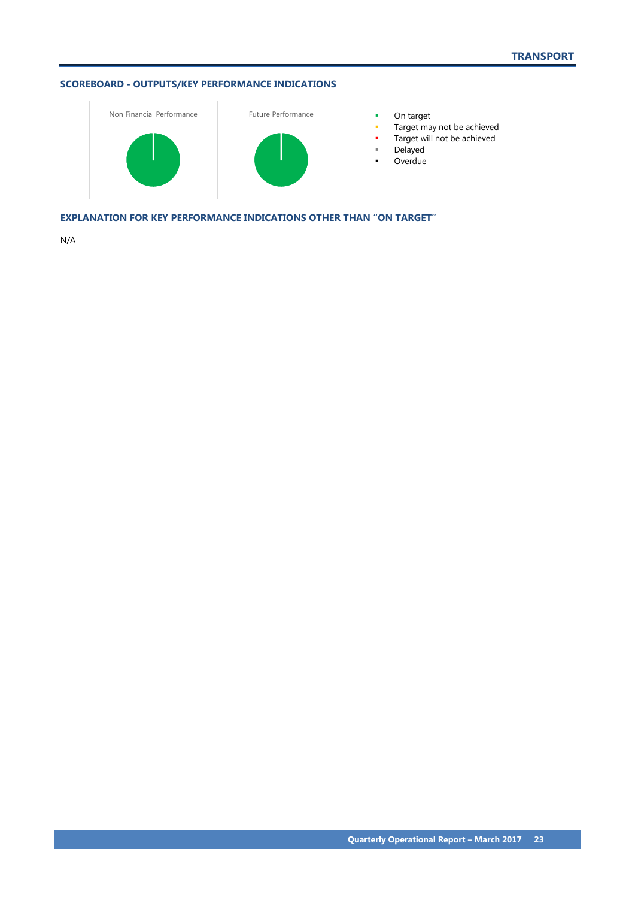# **SCOREBOARD - OUTPUTS/KEY PERFORMANCE INDICATIONS**



- 
- Target may not be achieved
- **Target will not be achieved**
- Delayed
- **-** Overdue

**EXPLANATION FOR KEY PERFORMANCE INDICATIONS OTHER THAN "ON TARGET"**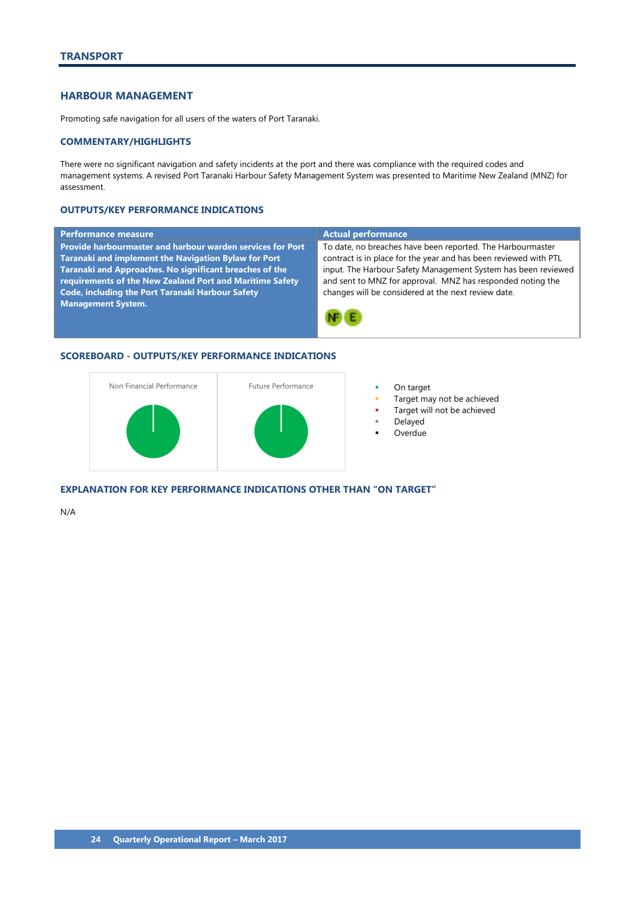# <span id="page-25-0"></span>**HARBOUR MANAGEMENT**

Promoting safe navigation for all users of the waters of Port Taranaki.

#### **COMMENTARY/HIGHLIGHTS**

There were no significant navigation and safety incidents at the port and there was compliance with the required codes and management systems. A revised Port Taranaki Harbour Safety Management System was presented to Maritime New Zealand (MNZ) for assessment.

## **OUTPUTS/KEY PERFORMANCE INDICATIONS**

| Performance measure                                         | <b>Actual performance</b>                                        |
|-------------------------------------------------------------|------------------------------------------------------------------|
| Provide harbourmaster and harbour warden services for Port  | To date, no breaches have been reported. The Harbourmaster       |
| <b>Taranaki and implement the Navigation Bylaw for Port</b> | contract is in place for the year and has been reviewed with PTL |
| Taranaki and Approaches. No significant breaches of the     | input. The Harbour Safety Management System has been reviewed    |
| requirements of the New Zealand Port and Maritime Safety    | and sent to MNZ for approval. MNZ has responded noting the       |
| <b>Code, including the Port Taranaki Harbour Safety</b>     | changes will be considered at the next review date.              |
| <b>Management System.</b>                                   |                                                                  |
|                                                             |                                                                  |

# **SCOREBOARD - OUTPUTS/KEY PERFORMANCE INDICATIONS**



- 
- Target may not be achieved
- Target will not be achieved
- Delayed
- Overdue

#### **EXPLANATION FOR KEY PERFORMANCE INDICATIONS OTHER THAN "ON TARGET"**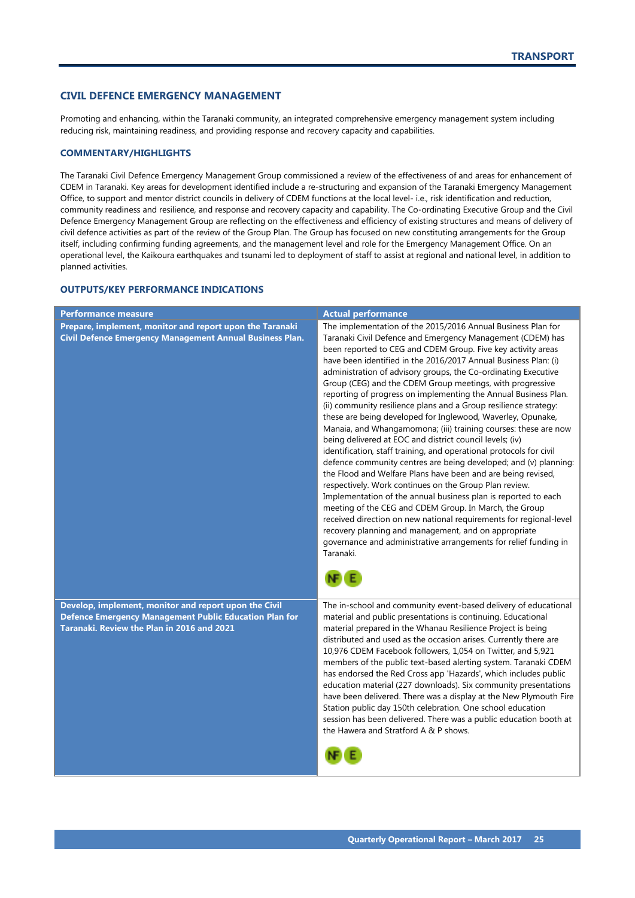## <span id="page-26-0"></span>**CIVIL DEFENCE EMERGENCY MANAGEMENT**

Promoting and enhancing, within the Taranaki community, an integrated comprehensive emergency management system including reducing risk, maintaining readiness, and providing response and recovery capacity and capabilities.

#### **COMMENTARY/HIGHLIGHTS**

The Taranaki Civil Defence Emergency Management Group commissioned a review of the effectiveness of and areas for enhancement of CDEM in Taranaki. Key areas for development identified include a re-structuring and expansion of the Taranaki Emergency Management Office, to support and mentor district councils in delivery of CDEM functions at the local level- i.e., risk identification and reduction, community readiness and resilience, and response and recovery capacity and capability. The Co-ordinating Executive Group and the Civil Defence Emergency Management Group are reflecting on the effectiveness and efficiency of existing structures and means of delivery of civil defence activities as part of the review of the Group Plan. The Group has focused on new constituting arrangements for the Group itself, including confirming funding agreements, and the management level and role for the Emergency Management Office. On an operational level, the Kaikoura earthquakes and tsunami led to deployment of staff to assist at regional and national level, in addition to planned activities.

| <b>Performance measure</b>                                                                                                                                           | <b>Actual performance</b>                                                                                                                                                                                                                                                                                                                                                                                                                                                                                                                                                                                                                                                                                                                                                                                                                                                                                                                                                                                                                                                                                                                                                                                                                                                                                                                         |
|----------------------------------------------------------------------------------------------------------------------------------------------------------------------|---------------------------------------------------------------------------------------------------------------------------------------------------------------------------------------------------------------------------------------------------------------------------------------------------------------------------------------------------------------------------------------------------------------------------------------------------------------------------------------------------------------------------------------------------------------------------------------------------------------------------------------------------------------------------------------------------------------------------------------------------------------------------------------------------------------------------------------------------------------------------------------------------------------------------------------------------------------------------------------------------------------------------------------------------------------------------------------------------------------------------------------------------------------------------------------------------------------------------------------------------------------------------------------------------------------------------------------------------|
| Prepare, implement, monitor and report upon the Taranaki<br>Civil Defence Emergency Management Annual Business Plan.                                                 | The implementation of the 2015/2016 Annual Business Plan for<br>Taranaki Civil Defence and Emergency Management (CDEM) has<br>been reported to CEG and CDEM Group. Five key activity areas<br>have been identified in the 2016/2017 Annual Business Plan: (i)<br>administration of advisory groups, the Co-ordinating Executive<br>Group (CEG) and the CDEM Group meetings, with progressive<br>reporting of progress on implementing the Annual Business Plan.<br>(ii) community resilience plans and a Group resilience strategy:<br>these are being developed for Inglewood, Waverley, Opunake,<br>Manaia, and Whangamomona; (iii) training courses: these are now<br>being delivered at EOC and district council levels; (iv)<br>identification, staff training, and operational protocols for civil<br>defence community centres are being developed; and (v) planning:<br>the Flood and Welfare Plans have been and are being revised,<br>respectively. Work continues on the Group Plan review.<br>Implementation of the annual business plan is reported to each<br>meeting of the CEG and CDEM Group. In March, the Group<br>received direction on new national requirements for regional-level<br>recovery planning and management, and on appropriate<br>governance and administrative arrangements for relief funding in<br>Taranaki. |
| Develop, implement, monitor and report upon the Civil<br><b>Defence Emergency Management Public Education Plan for</b><br>Taranaki. Review the Plan in 2016 and 2021 | The in-school and community event-based delivery of educational<br>material and public presentations is continuing. Educational<br>material prepared in the Whanau Resilience Project is being<br>distributed and used as the occasion arises. Currently there are<br>10,976 CDEM Facebook followers, 1,054 on Twitter, and 5,921<br>members of the public text-based alerting system. Taranaki CDEM<br>has endorsed the Red Cross app 'Hazards', which includes public<br>education material (227 downloads). Six community presentations<br>have been delivered. There was a display at the New Plymouth Fire<br>Station public day 150th celebration. One school education<br>session has been delivered. There was a public education booth at<br>the Hawera and Stratford A & P shows.                                                                                                                                                                                                                                                                                                                                                                                                                                                                                                                                                       |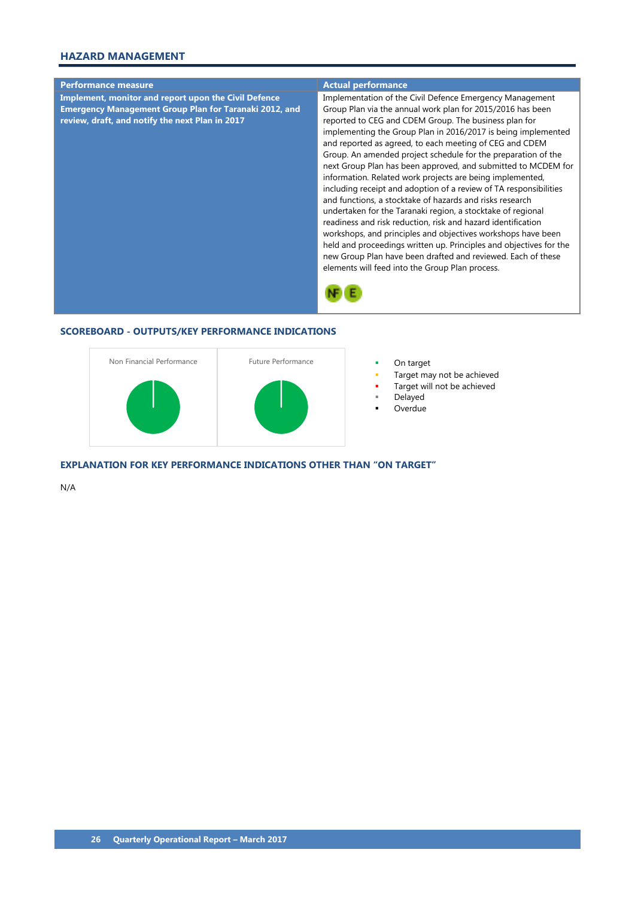# **HAZARD MANAGEMENT**



## **SCOREBOARD - OUTPUTS/KEY PERFORMANCE INDICATIONS**



- 
- Target may not be achieved
- Target will not be achieved
- Delayed
- Overdue

**EXPLANATION FOR KEY PERFORMANCE INDICATIONS OTHER THAN "ON TARGET"**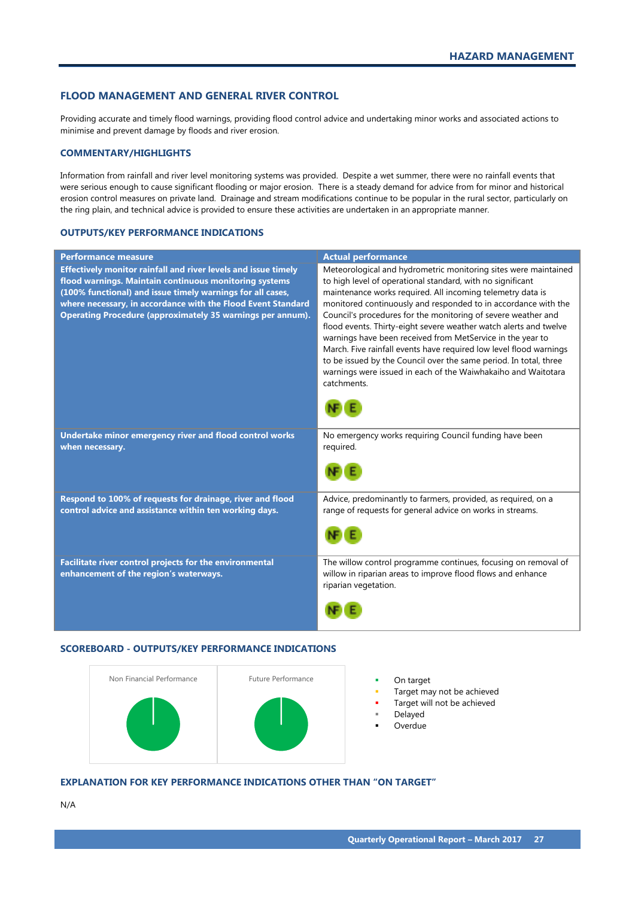#### <span id="page-28-0"></span>**FLOOD MANAGEMENT AND GENERAL RIVER CONTROL**

Providing accurate and timely flood warnings, providing flood control advice and undertaking minor works and associated actions to minimise and prevent damage by floods and river erosion.

#### **COMMENTARY/HIGHLIGHTS**

Information from rainfall and river level monitoring systems was provided. Despite a wet summer, there were no rainfall events that were serious enough to cause significant flooding or major erosion. There is a steady demand for advice from for minor and historical erosion control measures on private land. Drainage and stream modifications continue to be popular in the rural sector, particularly on the ring plain, and technical advice is provided to ensure these activities are undertaken in an appropriate manner.

#### **OUTPUTS/KEY PERFORMANCE INDICATIONS**

| <b>Performance measure</b>                                                                                                                                                                                                                                                                                           | <b>Actual performance</b>                                                                                                                                                                                                                                                                                                                                                                                                                                                                                                                                                                                                                                                                    |
|----------------------------------------------------------------------------------------------------------------------------------------------------------------------------------------------------------------------------------------------------------------------------------------------------------------------|----------------------------------------------------------------------------------------------------------------------------------------------------------------------------------------------------------------------------------------------------------------------------------------------------------------------------------------------------------------------------------------------------------------------------------------------------------------------------------------------------------------------------------------------------------------------------------------------------------------------------------------------------------------------------------------------|
| Effectively monitor rainfall and river levels and issue timely<br>flood warnings. Maintain continuous monitoring systems<br>(100% functional) and issue timely warnings for all cases,<br>where necessary, in accordance with the Flood Event Standard<br>Operating Procedure (approximately 35 warnings per annum). | Meteorological and hydrometric monitoring sites were maintained<br>to high level of operational standard, with no significant<br>maintenance works required. All incoming telemetry data is<br>monitored continuously and responded to in accordance with the<br>Council's procedures for the monitoring of severe weather and<br>flood events. Thirty-eight severe weather watch alerts and twelve<br>warnings have been received from MetService in the year to<br>March. Five rainfall events have required low level flood warnings<br>to be issued by the Council over the same period. In total, three<br>warnings were issued in each of the Waiwhakaiho and Waitotara<br>catchments. |
| Undertake minor emergency river and flood control works<br>when necessary.                                                                                                                                                                                                                                           | No emergency works requiring Council funding have been<br>required.                                                                                                                                                                                                                                                                                                                                                                                                                                                                                                                                                                                                                          |
| Respond to 100% of requests for drainage, river and flood<br>control advice and assistance within ten working days.                                                                                                                                                                                                  | Advice, predominantly to farmers, provided, as required, on a<br>range of requests for general advice on works in streams.                                                                                                                                                                                                                                                                                                                                                                                                                                                                                                                                                                   |
| Facilitate river control projects for the environmental<br>enhancement of the region's waterways.                                                                                                                                                                                                                    | The willow control programme continues, focusing on removal of<br>willow in riparian areas to improve flood flows and enhance<br>riparian vegetation.                                                                                                                                                                                                                                                                                                                                                                                                                                                                                                                                        |

#### **SCOREBOARD - OUTPUTS/KEY PERFORMANCE INDICATIONS**



- 
- Target may not be achieved
- Target will not be achieved
- Delayed
- Overdue

# **EXPLANATION FOR KEY PERFORMANCE INDICATIONS OTHER THAN "ON TARGET"**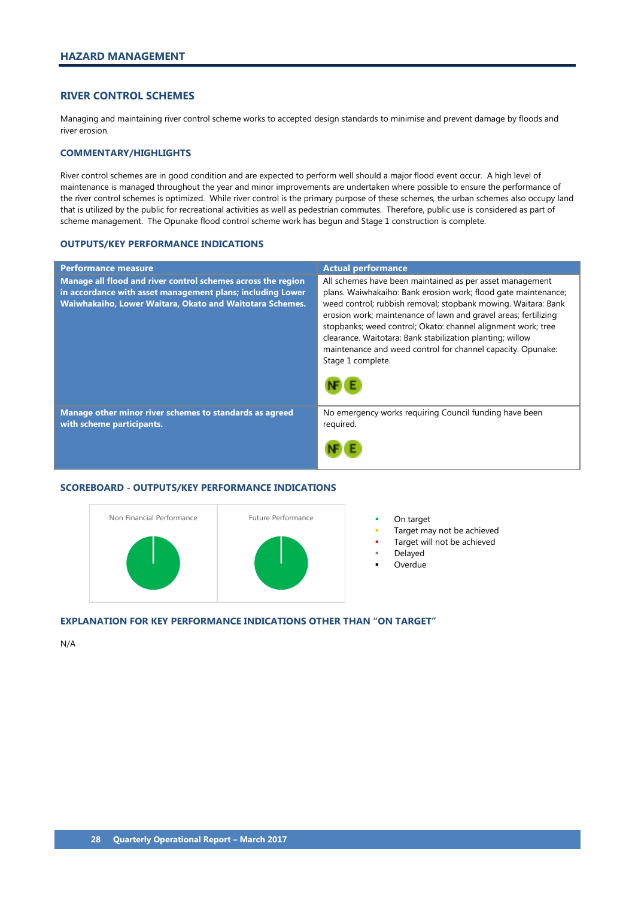# <span id="page-29-0"></span>**RIVER CONTROL SCHEMES**

Managing and maintaining river control scheme works to accepted design standards to minimise and prevent damage by floods and river erosion.

#### **COMMENTARY/HIGHLIGHTS**

River control schemes are in good condition and are expected to perform well should a major flood event occur. A high level of maintenance is managed throughout the year and minor improvements are undertaken where possible to ensure the performance of the river control schemes is optimized. While river control is the primary purpose of these schemes, the urban schemes also occupy land that is utilized by the public for recreational activities as well as pedestrian commutes. Therefore, public use is considered as part of scheme management. The Opunake flood control scheme work has begun and Stage 1 construction is complete.

#### **OUTPUTS/KEY PERFORMANCE INDICATIONS**

| <b>Performance measure</b>                                                                                                                                                             | <b>Actual performance</b>                                                                                                                                                                                                                                                                                                                                                                                                                                                       |
|----------------------------------------------------------------------------------------------------------------------------------------------------------------------------------------|---------------------------------------------------------------------------------------------------------------------------------------------------------------------------------------------------------------------------------------------------------------------------------------------------------------------------------------------------------------------------------------------------------------------------------------------------------------------------------|
| Manage all flood and river control schemes across the region<br>in accordance with asset management plans; including Lower<br>Waiwhakaiho, Lower Waitara, Okato and Waitotara Schemes. | All schemes have been maintained as per asset management<br>plans. Waiwhakaiho: Bank erosion work; flood gate maintenance;<br>weed control; rubbish removal; stopbank mowing. Waitara: Bank<br>erosion work; maintenance of lawn and gravel areas; fertilizing<br>stopbanks; weed control; Okato: channel alignment work; tree<br>clearance. Waitotara: Bank stabilization planting; willow<br>maintenance and weed control for channel capacity. Opunake:<br>Stage 1 complete. |
|                                                                                                                                                                                        |                                                                                                                                                                                                                                                                                                                                                                                                                                                                                 |
| Manage other minor river schemes to standards as agreed<br>with scheme participants.                                                                                                   | No emergency works requiring Council funding have been<br>required.                                                                                                                                                                                                                                                                                                                                                                                                             |
|                                                                                                                                                                                        |                                                                                                                                                                                                                                                                                                                                                                                                                                                                                 |

#### **SCOREBOARD - OUTPUTS/KEY PERFORMANCE INDICATIONS**



- 
- Target may not be achieved
- Target will not be achieved
- Delayed
- Overdue

#### **EXPLANATION FOR KEY PERFORMANCE INDICATIONS OTHER THAN "ON TARGET"**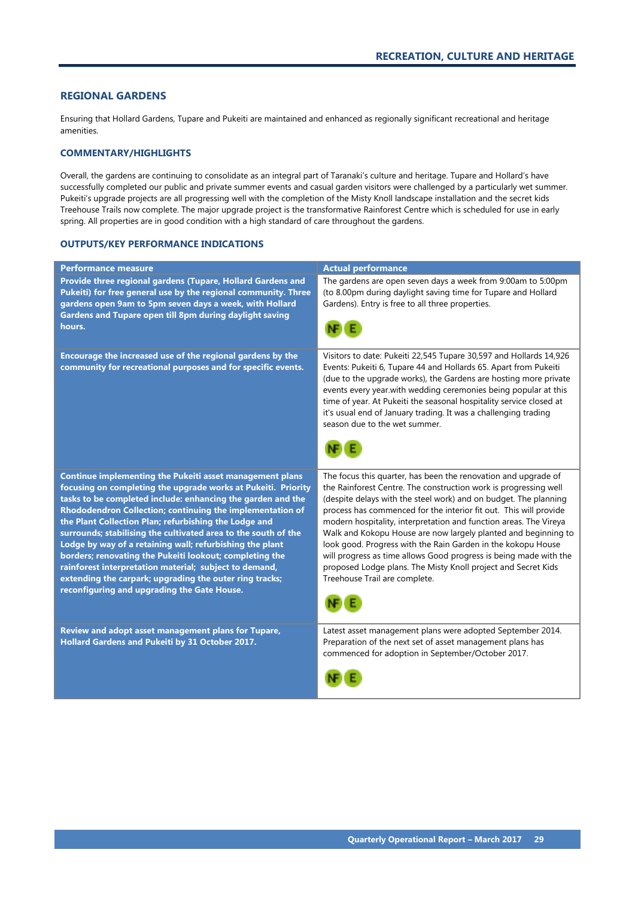#### <span id="page-30-0"></span>**REGIONAL GARDENS**

Ensuring that Hollard Gardens, Tupare and Pukeiti are maintained and enhanced as regionally significant recreational and heritage amenities.

#### **COMMENTARY/HIGHLIGHTS**

Overall, the gardens are continuing to consolidate as an integral part of Taranaki's culture and heritage. Tupare and Hollard's have successfully completed our public and private summer events and casual garden visitors were challenged by a particularly wet summer. Pukeiti's upgrade projects are all progressing well with the completion of the Misty Knoll landscape installation and the secret kids Treehouse Trails now complete. The major upgrade project is the transformative Rainforest Centre which is scheduled for use in early spring. All properties are in good condition with a high standard of care throughout the gardens.

| <b>Performance measure</b>                                                                                                                                                                                                                                                                                                                                                                                                                                                                                                                                                                                                                                                  | <b>Actual performance</b>                                                                                                                                                                                                                                                                                                                                                                                                                                                                                                                                                                                                                                 |
|-----------------------------------------------------------------------------------------------------------------------------------------------------------------------------------------------------------------------------------------------------------------------------------------------------------------------------------------------------------------------------------------------------------------------------------------------------------------------------------------------------------------------------------------------------------------------------------------------------------------------------------------------------------------------------|-----------------------------------------------------------------------------------------------------------------------------------------------------------------------------------------------------------------------------------------------------------------------------------------------------------------------------------------------------------------------------------------------------------------------------------------------------------------------------------------------------------------------------------------------------------------------------------------------------------------------------------------------------------|
| Provide three regional gardens (Tupare, Hollard Gardens and<br>Pukeiti) for free general use by the regional community. Three<br>gardens open 9am to 5pm seven days a week, with Hollard<br>Gardens and Tupare open till 8pm during daylight saving<br>hours.                                                                                                                                                                                                                                                                                                                                                                                                               | The gardens are open seven days a week from 9:00am to 5:00pm<br>(to 8.00pm during daylight saving time for Tupare and Hollard<br>Gardens). Entry is free to all three properties.                                                                                                                                                                                                                                                                                                                                                                                                                                                                         |
| Encourage the increased use of the regional gardens by the<br>community for recreational purposes and for specific events.                                                                                                                                                                                                                                                                                                                                                                                                                                                                                                                                                  | Visitors to date: Pukeiti 22,545 Tupare 30,597 and Hollards 14,926<br>Events: Pukeiti 6, Tupare 44 and Hollards 65. Apart from Pukeiti<br>(due to the upgrade works), the Gardens are hosting more private<br>events every year.with wedding ceremonies being popular at this<br>time of year. At Pukeiti the seasonal hospitality service closed at<br>it's usual end of January trading. It was a challenging trading<br>season due to the wet summer.                                                                                                                                                                                                  |
| Continue implementing the Pukeiti asset management plans<br>focusing on completing the upgrade works at Pukeiti. Priority<br>tasks to be completed include: enhancing the garden and the<br>Rhododendron Collection; continuing the implementation of<br>the Plant Collection Plan; refurbishing the Lodge and<br>surrounds; stabilising the cultivated area to the south of the<br>Lodge by way of a retaining wall; refurbishing the plant<br>borders; renovating the Pukeiti lookout; completing the<br>rainforest interpretation material; subject to demand,<br>extending the carpark; upgrading the outer ring tracks;<br>reconfiguring and upgrading the Gate House. | The focus this quarter, has been the renovation and upgrade of<br>the Rainforest Centre. The construction work is progressing well<br>(despite delays with the steel work) and on budget. The planning<br>process has commenced for the interior fit out. This will provide<br>modern hospitality, interpretation and function areas. The Vireya<br>Walk and Kokopu House are now largely planted and beginning to<br>look good. Progress with the Rain Garden in the kokopu House<br>will progress as time allows Good progress is being made with the<br>proposed Lodge plans. The Misty Knoll project and Secret Kids<br>Treehouse Trail are complete. |
| Review and adopt asset management plans for Tupare,<br>Hollard Gardens and Pukeiti by 31 October 2017.                                                                                                                                                                                                                                                                                                                                                                                                                                                                                                                                                                      | Latest asset management plans were adopted September 2014.<br>Preparation of the next set of asset management plans has<br>commenced for adoption in September/October 2017.                                                                                                                                                                                                                                                                                                                                                                                                                                                                              |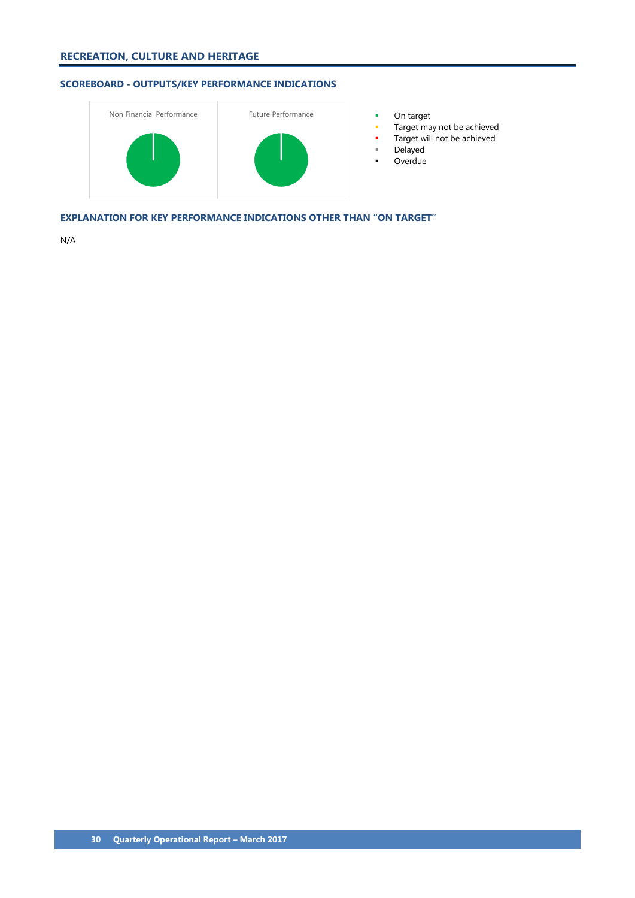# **SCOREBOARD - OUTPUTS/KEY PERFORMANCE INDICATIONS**



- 
- Target may not be achieved
- Target will not be achieved
- Delayed
- **-** Overdue

**EXPLANATION FOR KEY PERFORMANCE INDICATIONS OTHER THAN "ON TARGET"**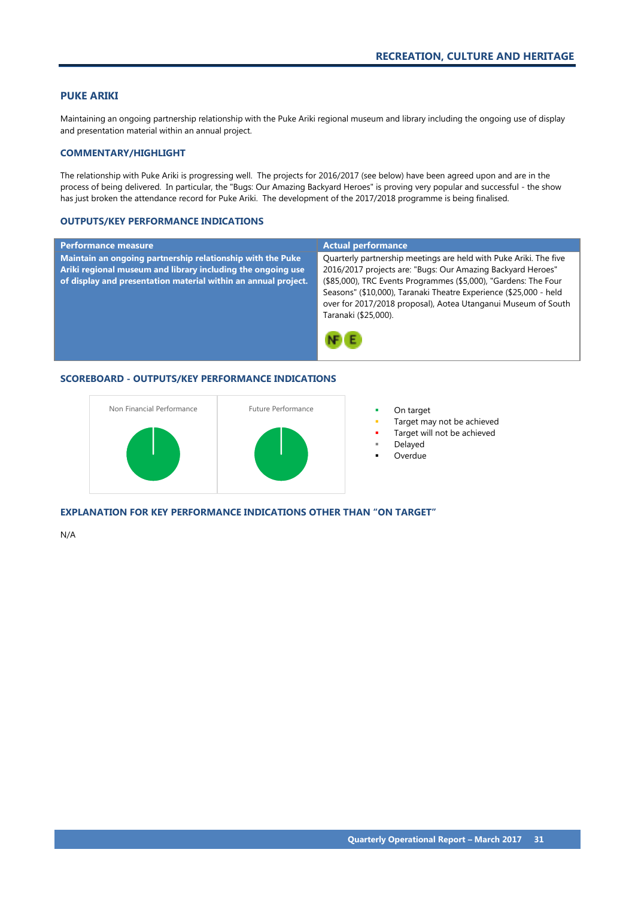#### <span id="page-32-0"></span>**PUKE ARIKI**

Maintaining an ongoing partnership relationship with the Puke Ariki regional museum and library including the ongoing use of display and presentation material within an annual project.

#### **COMMENTARY/HIGHLIGHT**

The relationship with Puke Ariki is progressing well. The projects for 2016/2017 (see below) have been agreed upon and are in the process of being delivered. In particular, the "Bugs: Our Amazing Backyard Heroes" is proving very popular and successful - the show has just broken the attendance record for Puke Ariki. The development of the 2017/2018 programme is being finalised.

#### **OUTPUTS/KEY PERFORMANCE INDICATIONS**

| <b>Performance measure</b>                                                                                                                                                                  | <b>Actual performance</b>                                                                                                                                                                                                                                                                                                                                         |
|---------------------------------------------------------------------------------------------------------------------------------------------------------------------------------------------|-------------------------------------------------------------------------------------------------------------------------------------------------------------------------------------------------------------------------------------------------------------------------------------------------------------------------------------------------------------------|
| Maintain an ongoing partnership relationship with the Puke<br>Ariki regional museum and library including the ongoing use<br>of display and presentation material within an annual project. | Quarterly partnership meetings are held with Puke Ariki. The five<br>2016/2017 projects are: "Bugs: Our Amazing Backyard Heroes"<br>(\$85,000), TRC Events Programmes (\$5,000), "Gardens: The Four<br>Seasons" (\$10,000), Taranaki Theatre Experience (\$25,000 - held<br>over for 2017/2018 proposal), Aotea Utanganui Museum of South<br>Taranaki (\$25,000). |

# **SCOREBOARD - OUTPUTS/KEY PERFORMANCE INDICATIONS**



- 
- Target may not be achieved
- Target will not be achieved
- Delayed
- Overdue

**EXPLANATION FOR KEY PERFORMANCE INDICATIONS OTHER THAN "ON TARGET"**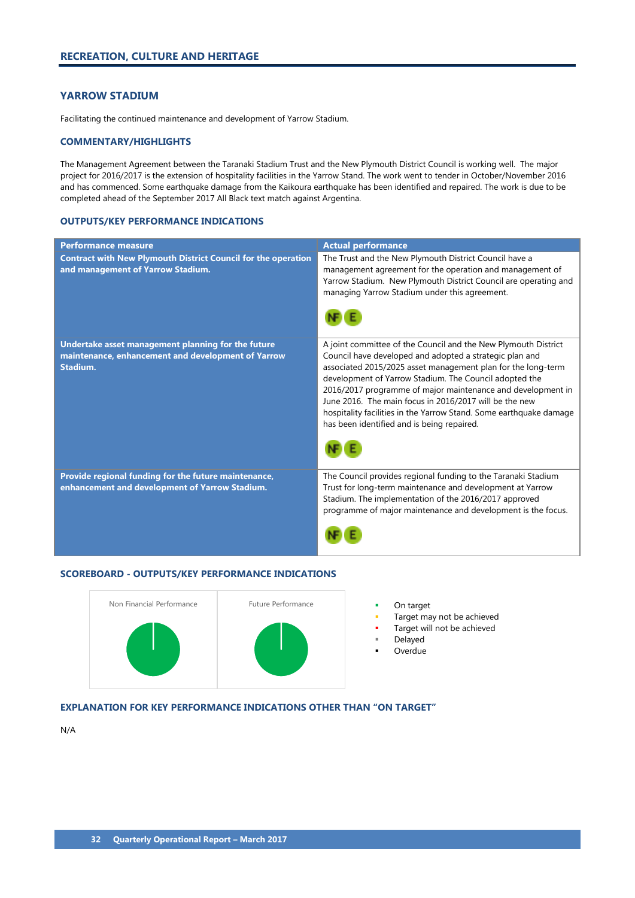# <span id="page-33-0"></span>**YARROW STADIUM**

Facilitating the continued maintenance and development of Yarrow Stadium.

### **COMMENTARY/HIGHLIGHTS**

The Management Agreement between the Taranaki Stadium Trust and the New Plymouth District Council is working well. The major project for 2016/2017 is the extension of hospitality facilities in the Yarrow Stand. The work went to tender in October/November 2016 and has commenced. Some earthquake damage from the Kaikoura earthquake has been identified and repaired. The work is due to be completed ahead of the September 2017 All Black text match against Argentina.

#### **OUTPUTS/KEY PERFORMANCE INDICATIONS**

| <b>Performance measure</b>                                                                                           | <b>Actual performance</b>                                                                                                                                                                                                                                                                                                                                                                                                                                                                        |
|----------------------------------------------------------------------------------------------------------------------|--------------------------------------------------------------------------------------------------------------------------------------------------------------------------------------------------------------------------------------------------------------------------------------------------------------------------------------------------------------------------------------------------------------------------------------------------------------------------------------------------|
| <b>Contract with New Plymouth District Council for the operation</b><br>and management of Yarrow Stadium.            | The Trust and the New Plymouth District Council have a<br>management agreement for the operation and management of<br>Yarrow Stadium. New Plymouth District Council are operating and<br>managing Yarrow Stadium under this agreement.                                                                                                                                                                                                                                                           |
| Undertake asset management planning for the future<br>maintenance, enhancement and development of Yarrow<br>Stadium. | A joint committee of the Council and the New Plymouth District<br>Council have developed and adopted a strategic plan and<br>associated 2015/2025 asset management plan for the long-term<br>development of Yarrow Stadium. The Council adopted the<br>2016/2017 programme of major maintenance and development in<br>June 2016. The main focus in 2016/2017 will be the new<br>hospitality facilities in the Yarrow Stand. Some earthquake damage<br>has been identified and is being repaired. |
| Provide regional funding for the future maintenance,<br>enhancement and development of Yarrow Stadium.               | The Council provides regional funding to the Taranaki Stadium<br>Trust for long-term maintenance and development at Yarrow<br>Stadium. The implementation of the 2016/2017 approved<br>programme of major maintenance and development is the focus.                                                                                                                                                                                                                                              |

## **SCOREBOARD - OUTPUTS/KEY PERFORMANCE INDICATIONS**



- 
- Target may not be achieved
- Target will not be achieved
- Delayed
- Overdue

# **EXPLANATION FOR KEY PERFORMANCE INDICATIONS OTHER THAN "ON TARGET"**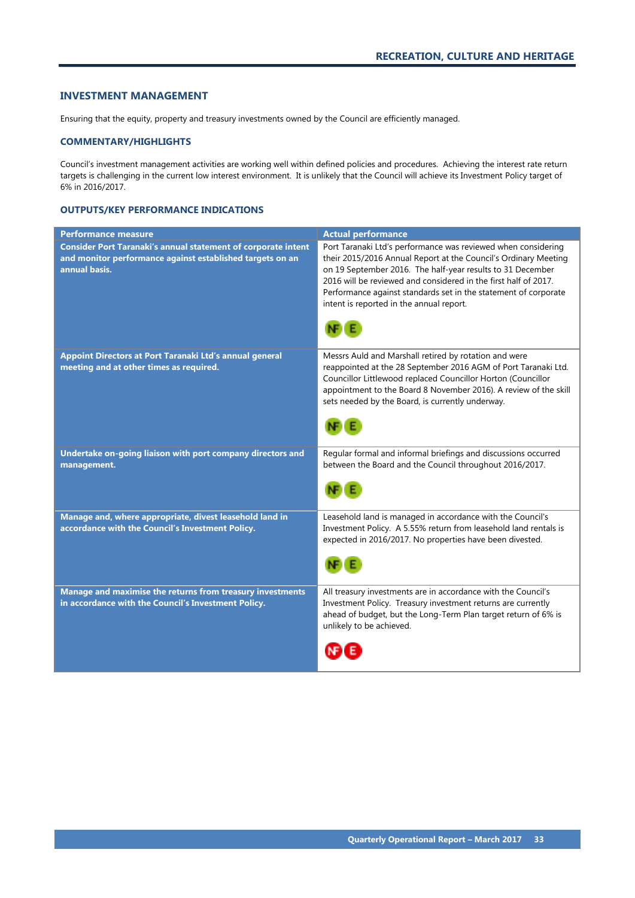#### <span id="page-34-0"></span>**INVESTMENT MANAGEMENT**

Ensuring that the equity, property and treasury investments owned by the Council are efficiently managed.

#### **COMMENTARY/HIGHLIGHTS**

Council's investment management activities are working well within defined policies and procedures. Achieving the interest rate return targets is challenging in the current low interest environment. It is unlikely that the Council will achieve its Investment Policy target of 6% in 2016/2017.

| <b>Performance measure</b>                                                                                                                         | <b>Actual performance</b>                                                                                                                                                                                                                                                                                                                                                                             |
|----------------------------------------------------------------------------------------------------------------------------------------------------|-------------------------------------------------------------------------------------------------------------------------------------------------------------------------------------------------------------------------------------------------------------------------------------------------------------------------------------------------------------------------------------------------------|
| <b>Consider Port Taranaki's annual statement of corporate intent</b><br>and monitor performance against established targets on an<br>annual basis. | Port Taranaki Ltd's performance was reviewed when considering<br>their 2015/2016 Annual Report at the Council's Ordinary Meeting<br>on 19 September 2016. The half-year results to 31 December<br>2016 will be reviewed and considered in the first half of 2017.<br>Performance against standards set in the statement of corporate<br>intent is reported in the annual report.<br>NB <sub>(E)</sub> |
| Appoint Directors at Port Taranaki Ltd's annual general<br>meeting and at other times as required.                                                 | Messrs Auld and Marshall retired by rotation and were<br>reappointed at the 28 September 2016 AGM of Port Taranaki Ltd.<br>Councillor Littlewood replaced Councillor Horton (Councillor<br>appointment to the Board 8 November 2016). A review of the skill<br>sets needed by the Board, is currently underway.                                                                                       |
| Undertake on-going liaison with port company directors and<br>management.                                                                          | Regular formal and informal briefings and discussions occurred<br>between the Board and the Council throughout 2016/2017.<br>NF E                                                                                                                                                                                                                                                                     |
| Manage and, where appropriate, divest leasehold land in<br>accordance with the Council's Investment Policy.                                        | Leasehold land is managed in accordance with the Council's<br>Investment Policy. A 5.55% return from leasehold land rentals is<br>expected in 2016/2017. No properties have been divested.                                                                                                                                                                                                            |
| Manage and maximise the returns from treasury investments<br>in accordance with the Council's Investment Policy.                                   | All treasury investments are in accordance with the Council's<br>Investment Policy. Treasury investment returns are currently<br>ahead of budget, but the Long-Term Plan target return of 6% is<br>unlikely to be achieved.                                                                                                                                                                           |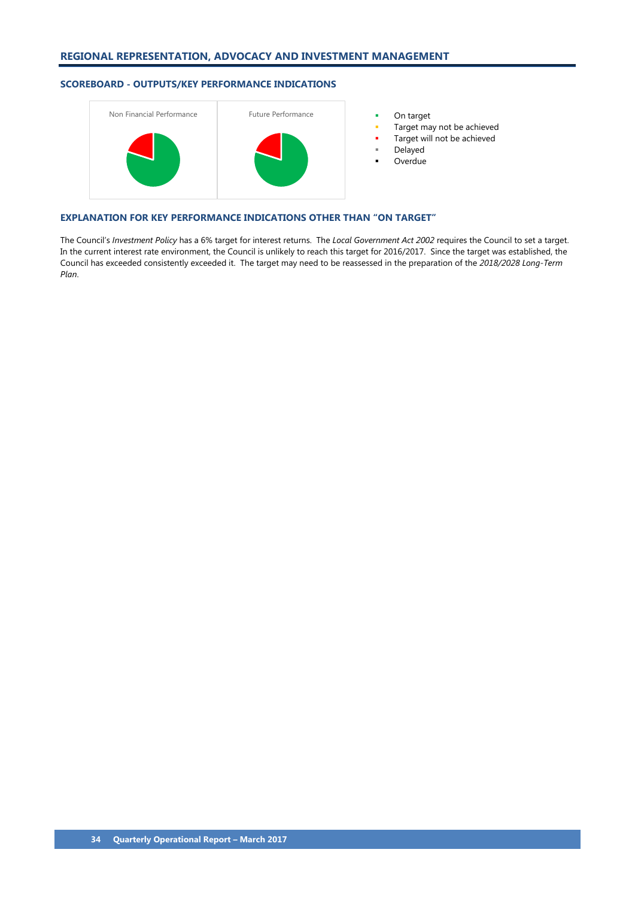# **SCOREBOARD - OUTPUTS/KEY PERFORMANCE INDICATIONS**



- 
- Target may not be achieved
- Target will not be achieved
- Delayed
- Overdue

## **EXPLANATION FOR KEY PERFORMANCE INDICATIONS OTHER THAN "ON TARGET"**

The Council's *Investment Policy* has a 6% target for interest returns. The *Local Government Act 2002* requires the Council to set a target. In the current interest rate environment, the Council is unlikely to reach this target for 2016/2017. Since the target was established, the Council has exceeded consistently exceeded it. The target may need to be reassessed in the preparation of the *2018/2028 Long-Term Plan*.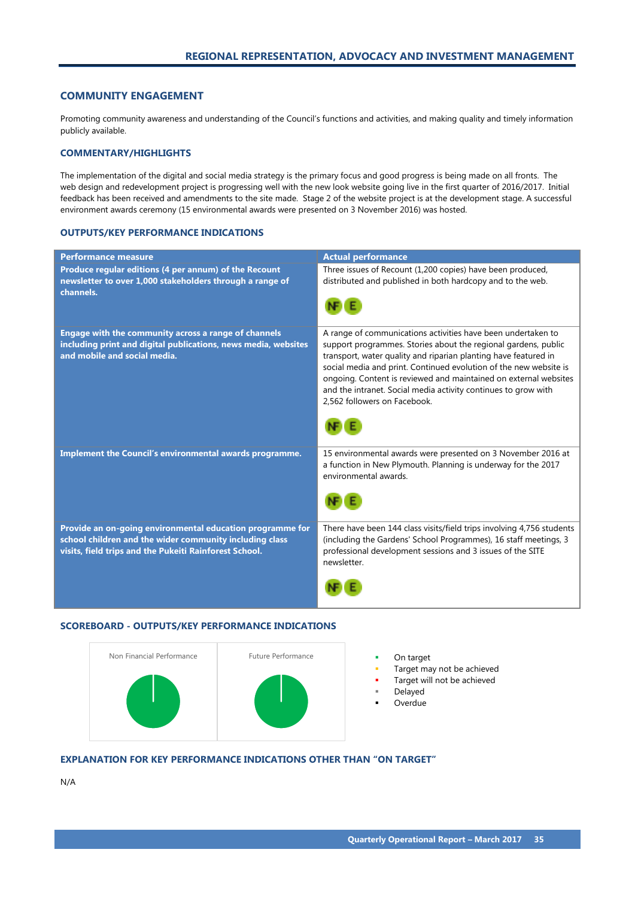#### <span id="page-36-0"></span>**COMMUNITY ENGAGEMENT**

Promoting community awareness and understanding of the Council's functions and activities, and making quality and timely information publicly available.

#### **COMMENTARY/HIGHLIGHTS**

The implementation of the digital and social media strategy is the primary focus and good progress is being made on all fronts. The web design and redevelopment project is progressing well with the new look website going live in the first quarter of 2016/2017. Initial feedback has been received and amendments to the site made. Stage 2 of the website project is at the development stage. A successful environment awards ceremony (15 environmental awards were presented on 3 November 2016) was hosted.

#### **OUTPUTS/KEY PERFORMANCE INDICATIONS**

| <b>Performance measure</b>                                                                                                                                                     | <b>Actual performance</b>                                                                                                                                                                                                                                                                                                                                                                                                                    |
|--------------------------------------------------------------------------------------------------------------------------------------------------------------------------------|----------------------------------------------------------------------------------------------------------------------------------------------------------------------------------------------------------------------------------------------------------------------------------------------------------------------------------------------------------------------------------------------------------------------------------------------|
| Produce regular editions (4 per annum) of the Recount<br>newsletter to over 1,000 stakeholders through a range of<br>channels.                                                 | Three issues of Recount (1,200 copies) have been produced,<br>distributed and published in both hardcopy and to the web.                                                                                                                                                                                                                                                                                                                     |
| Engage with the community across a range of channels<br>including print and digital publications, news media, websites<br>and mobile and social media.                         | A range of communications activities have been undertaken to<br>support programmes. Stories about the regional gardens, public<br>transport, water quality and riparian planting have featured in<br>social media and print. Continued evolution of the new website is<br>ongoing. Content is reviewed and maintained on external websites<br>and the intranet. Social media activity continues to grow with<br>2,562 followers on Facebook. |
| Implement the Council's environmental awards programme.                                                                                                                        | 15 environmental awards were presented on 3 November 2016 at<br>a function in New Plymouth. Planning is underway for the 2017<br>environmental awards.                                                                                                                                                                                                                                                                                       |
| Provide an on-going environmental education programme for<br>school children and the wider community including class<br>visits, field trips and the Pukeiti Rainforest School. | There have been 144 class visits/field trips involving 4,756 students<br>(including the Gardens' School Programmes), 16 staff meetings, 3<br>professional development sessions and 3 issues of the SITE<br>newsletter.                                                                                                                                                                                                                       |

#### **SCOREBOARD - OUTPUTS/KEY PERFORMANCE INDICATIONS**



- 
- Target may not be achieved
- Target will not be achieved
- Delayed
- Overdue

## **EXPLANATION FOR KEY PERFORMANCE INDICATIONS OTHER THAN "ON TARGET"**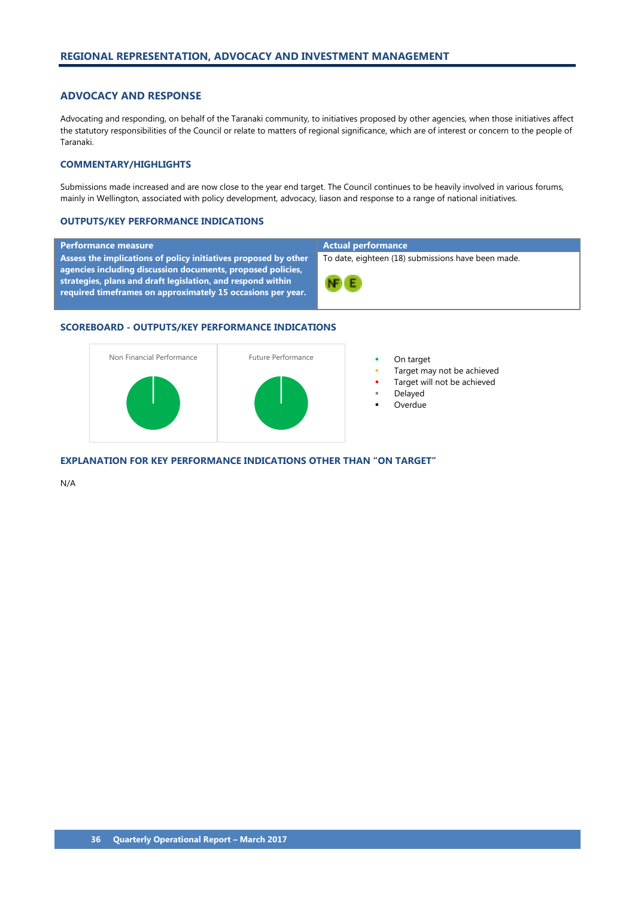## <span id="page-37-0"></span>**ADVOCACY AND RESPONSE**

Advocating and responding, on behalf of the Taranaki community, to initiatives proposed by other agencies, when those initiatives affect the statutory responsibilities of the Council or relate to matters of regional significance, which are of interest or concern to the people of Taranaki.

#### **COMMENTARY/HIGHLIGHTS**

Submissions made increased and are now close to the year end target. The Council continues to be heavily involved in various forums, mainly in Wellington, associated with policy development, advocacy, liason and response to a range of national initiatives.

#### **OUTPUTS/KEY PERFORMANCE INDICATIONS**

#### **Performance measure Actual performance**

**Assess the implications of policy initiatives proposed by other agencies including discussion documents, proposed policies, strategies, plans and draft legislation, and respond within required timeframes on approximately 15 occasions per year.**

To date, eighteen (18) submissions have been made.



#### **SCOREBOARD - OUTPUTS/KEY PERFORMANCE INDICATIONS**



- 
- Target may not be achieved
- Target will not be achieved
- Delayed
- Overdue

**EXPLANATION FOR KEY PERFORMANCE INDICATIONS OTHER THAN "ON TARGET"**